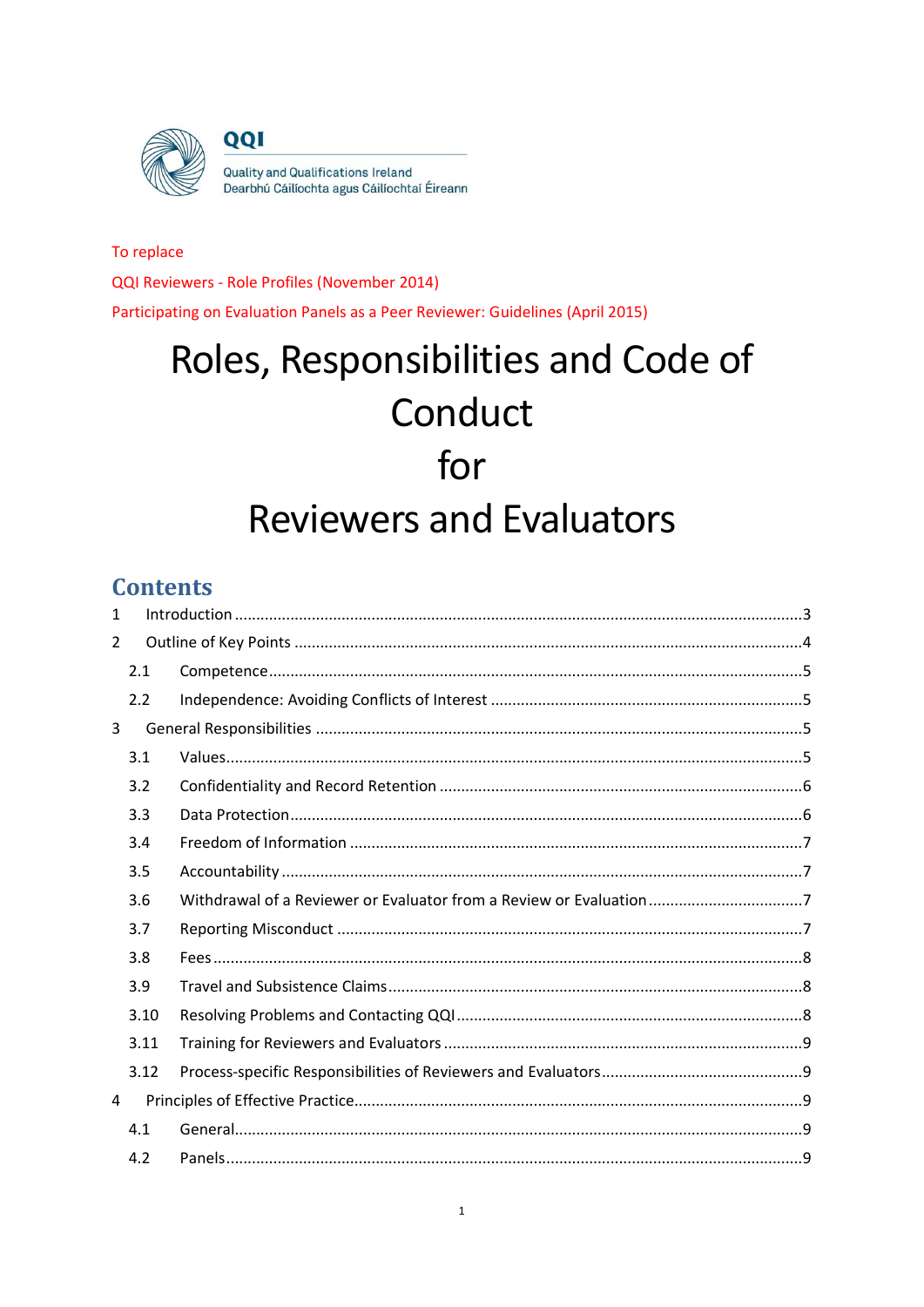

QQI

Quality and Qualifications Ireland Dearbhú Cáilíochta agus Cáilíochtaí Éireann

# To replace QQI Reviewers - Role Profiles (November 2014) Participating on Evaluation Panels as a Peer Reviewer: Guidelines (April 2015)

# Roles, Responsibilities and Code of Conduct for **Reviewers and Evaluators**

# **Contents**

| 1 |      |                                                                     |  |  |
|---|------|---------------------------------------------------------------------|--|--|
| 2 |      |                                                                     |  |  |
|   | 2.1  |                                                                     |  |  |
|   | 2.2  |                                                                     |  |  |
| 3 |      |                                                                     |  |  |
|   | 3.1  |                                                                     |  |  |
|   | 3.2  |                                                                     |  |  |
|   | 3.3  |                                                                     |  |  |
|   | 3.4  |                                                                     |  |  |
|   | 3.5  |                                                                     |  |  |
|   | 3.6  | Withdrawal of a Reviewer or Evaluator from a Review or Evaluation 7 |  |  |
|   | 3.7  |                                                                     |  |  |
|   | 3.8  |                                                                     |  |  |
|   | 3.9  |                                                                     |  |  |
|   | 3.10 |                                                                     |  |  |
|   | 3.11 |                                                                     |  |  |
|   | 3.12 |                                                                     |  |  |
| 4 |      |                                                                     |  |  |
|   | 4.1  |                                                                     |  |  |
|   | 4.2  |                                                                     |  |  |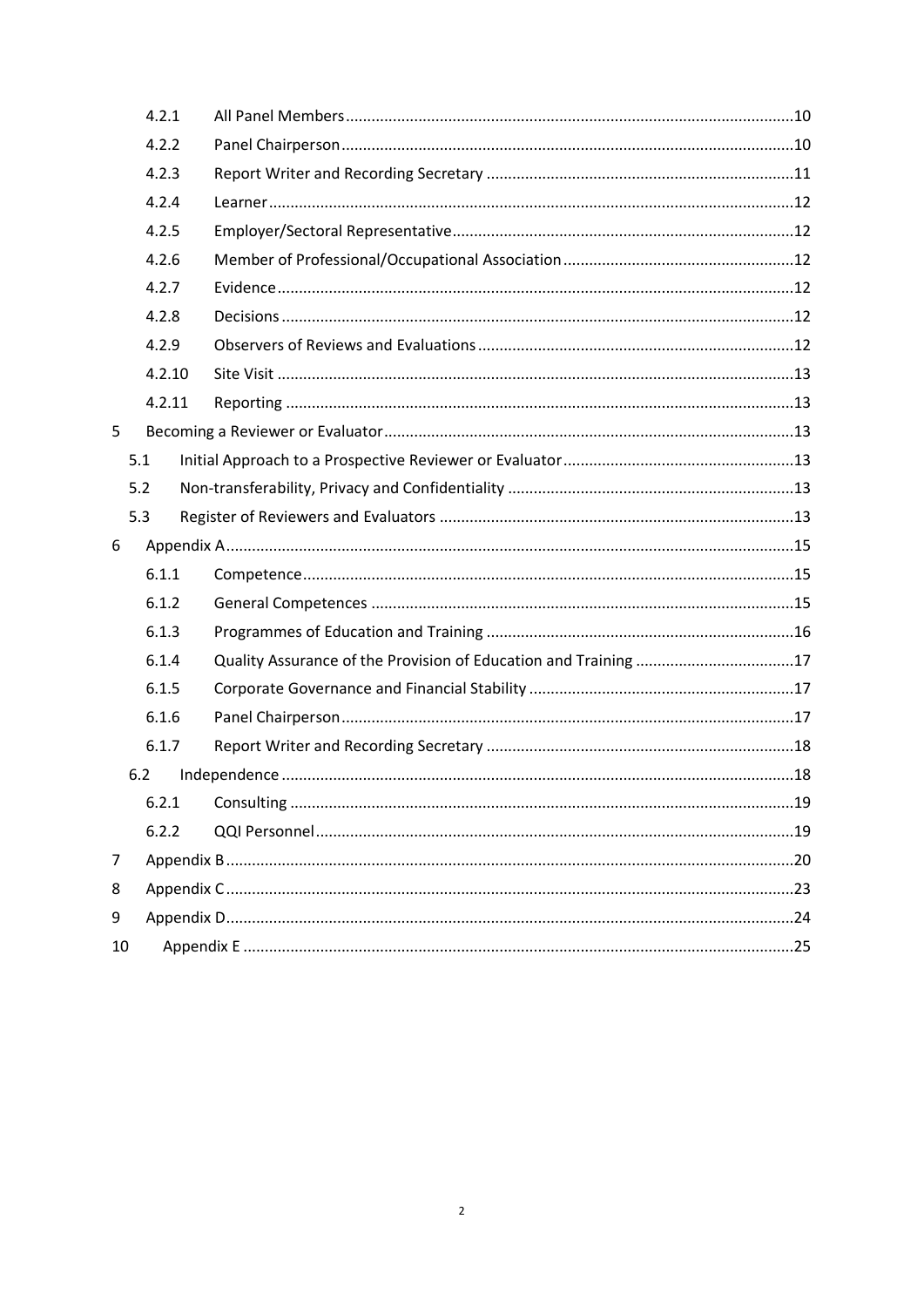|    | 4.2.1          |  |  |
|----|----------------|--|--|
|    | 4.2.2          |  |  |
|    | 4.2.3          |  |  |
|    | 4.2.4          |  |  |
|    | 4.2.5          |  |  |
|    | 4.2.6          |  |  |
|    | 4.2.7<br>4.2.8 |  |  |
|    |                |  |  |
|    | 4.2.9          |  |  |
|    | 4.2.10         |  |  |
|    | 4.2.11         |  |  |
| 5  |                |  |  |
|    | 5.1            |  |  |
|    | 5.2            |  |  |
|    | 5.3            |  |  |
| 6  |                |  |  |
|    | 6.1.1          |  |  |
|    | 6.1.2          |  |  |
|    | 6.1.3          |  |  |
|    | 6.1.4          |  |  |
|    | 6.1.5          |  |  |
|    | 6.1.6          |  |  |
|    | 6.1.7          |  |  |
|    | 6.2            |  |  |
|    |                |  |  |
|    | 6.2.2          |  |  |
| 7  |                |  |  |
| 8  |                |  |  |
| 9  |                |  |  |
| 10 |                |  |  |
|    |                |  |  |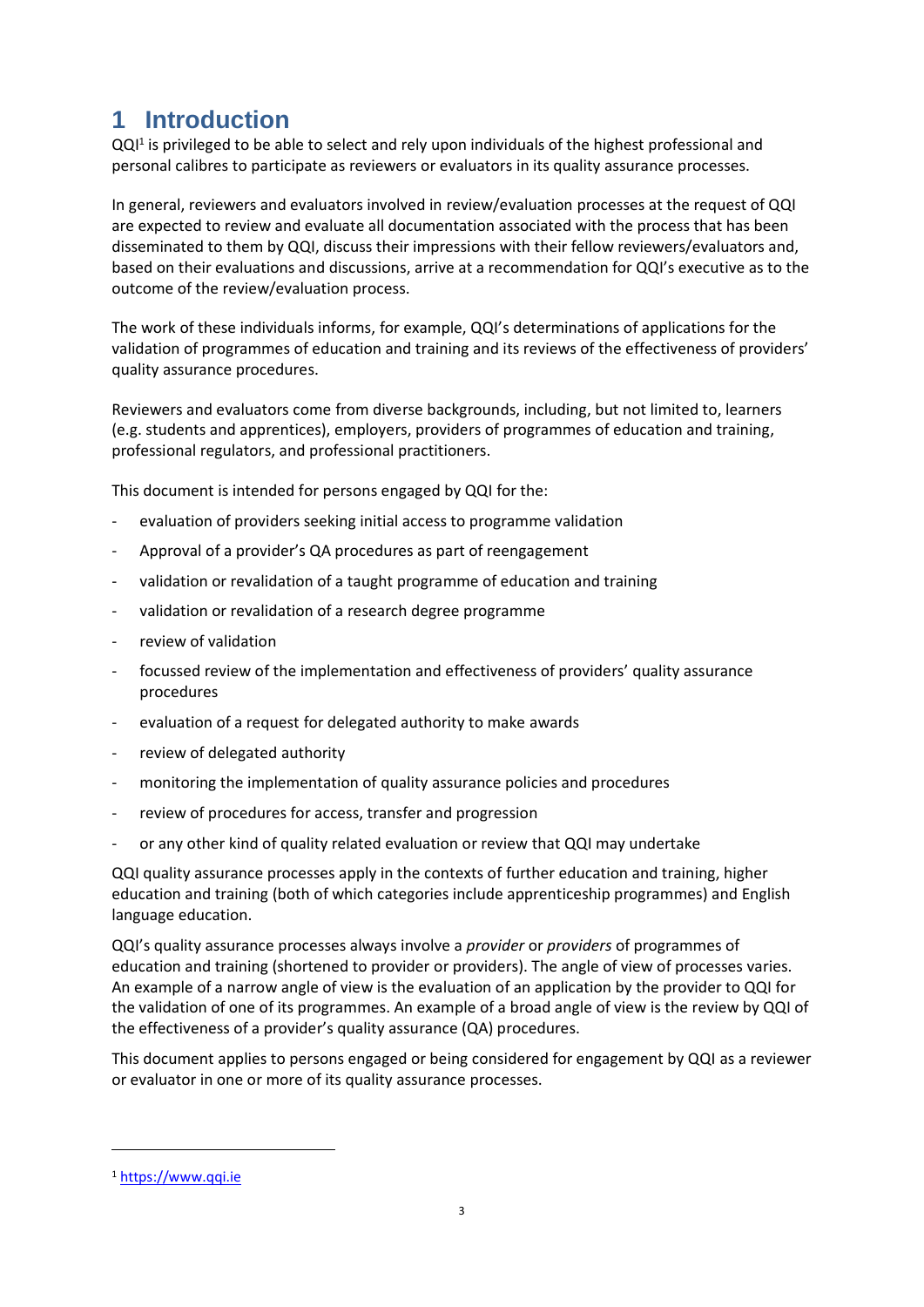# <span id="page-2-0"></span>**1 Introduction**

QQ<sup>11</sup> is privileged to be able to select and rely upon individuals of the highest professional and personal calibres to participate as reviewers or evaluators in its quality assurance processes.

In general, reviewers and evaluators involved in review/evaluation processes at the request of QQI are expected to review and evaluate all documentation associated with the process that has been disseminated to them by QQI, discuss their impressions with their fellow reviewers/evaluators and, based on their evaluations and discussions, arrive at a recommendation for QQI's executive as to the outcome of the review/evaluation process.

The work of these individuals informs, for example, QQI's determinations of applications for the validation of programmes of education and training and its reviews of the effectiveness of providers' quality assurance procedures.

Reviewers and evaluators come from diverse backgrounds, including, but not limited to, learners (e.g. students and apprentices), employers, providers of programmes of education and training, professional regulators, and professional practitioners.

This document is intended for persons engaged by QQI for the:

- evaluation of providers seeking initial access to programme validation
- Approval of a provider's QA procedures as part of reengagement
- validation or revalidation of a taught programme of education and training
- validation or revalidation of a research degree programme
- review of validation
- focussed review of the implementation and effectiveness of providers' quality assurance procedures
- evaluation of a request for delegated authority to make awards
- review of delegated authority
- monitoring the implementation of quality assurance policies and procedures
- review of procedures for access, transfer and progression
- or any other kind of quality related evaluation or review that QQI may undertake

QQI quality assurance processes apply in the contexts of further education and training, higher education and training (both of which categories include apprenticeship programmes) and English language education.

QQI's quality assurance processes always involve a *provider* or *providers* of programmes of education and training (shortened to provider or providers). The angle of view of processes varies. An example of a narrow angle of view is the evaluation of an application by the provider to QQI for the validation of one of its programmes. An example of a broad angle of view is the review by QQI of the effectiveness of a provider's quality assurance (QA) procedures.

This document applies to persons engaged or being considered for engagement by QQI as a reviewer or evaluator in one or more of its quality assurance processes.

1

<sup>1</sup> [https://www.qqi.ie](https://www.qqi.ie/)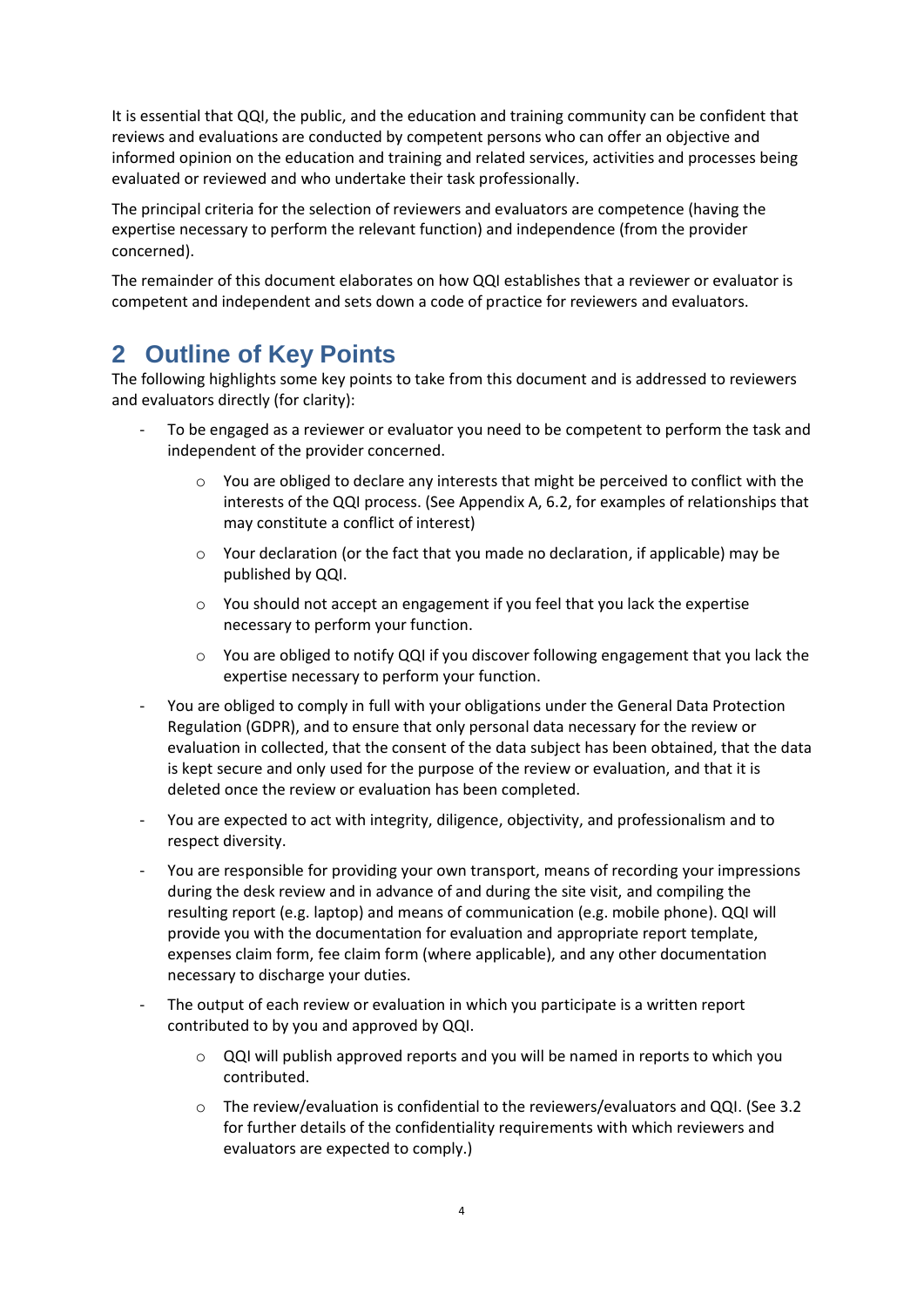It is essential that QQI, the public, and the education and training community can be confident that reviews and evaluations are conducted by competent persons who can offer an objective and informed opinion on the education and training and related services, activities and processes being evaluated or reviewed and who undertake their task professionally.

The principal criteria for the selection of reviewers and evaluators are competence (having the expertise necessary to perform the relevant function) and independence (from the provider concerned).

The remainder of this document elaborates on how QQI establishes that a reviewer or evaluator is competent and independent and sets down a code of practice for reviewers and evaluators.

# <span id="page-3-0"></span>**2 Outline of Key Points**

The following highlights some key points to take from this document and is addressed to reviewers and evaluators directly (for clarity):

- To be engaged as a reviewer or evaluator you need to be competent to perform the task and independent of the provider concerned.
	- $\circ$  You are obliged to declare any interests that might be perceived to conflict with the interests of the QQI process. (See Appendix A, 6.2, for examples of relationships that may constitute a conflict of interest)
	- $\circ$  Your declaration (or the fact that you made no declaration, if applicable) may be published by QQI.
	- $\circ$  You should not accept an engagement if you feel that you lack the expertise necessary to perform your function.
	- $\circ$  You are obliged to notify QQI if you discover following engagement that you lack the expertise necessary to perform your function.
- You are obliged to comply in full with your obligations under the General Data Protection Regulation (GDPR), and to ensure that only personal data necessary for the review or evaluation in collected, that the consent of the data subject has been obtained, that the data is kept secure and only used for the purpose of the review or evaluation, and that it is deleted once the review or evaluation has been completed.
- You are expected to act with integrity, diligence, objectivity, and professionalism and to respect diversity.
- You are responsible for providing your own transport, means of recording your impressions during the desk review and in advance of and during the site visit, and compiling the resulting report (e.g. laptop) and means of communication (e.g. mobile phone). QQI will provide you with the documentation for evaluation and appropriate report template, expenses claim form, fee claim form (where applicable), and any other documentation necessary to discharge your duties.
- The output of each review or evaluation in which you participate is a written report contributed to by you and approved by QQI.
	- $\circ$  QQI will publish approved reports and you will be named in reports to which you contributed.
	- o The review/evaluation is confidential to the reviewers/evaluators and QQI. (See 3.2 for further details of the confidentiality requirements with which reviewers and evaluators are expected to comply.)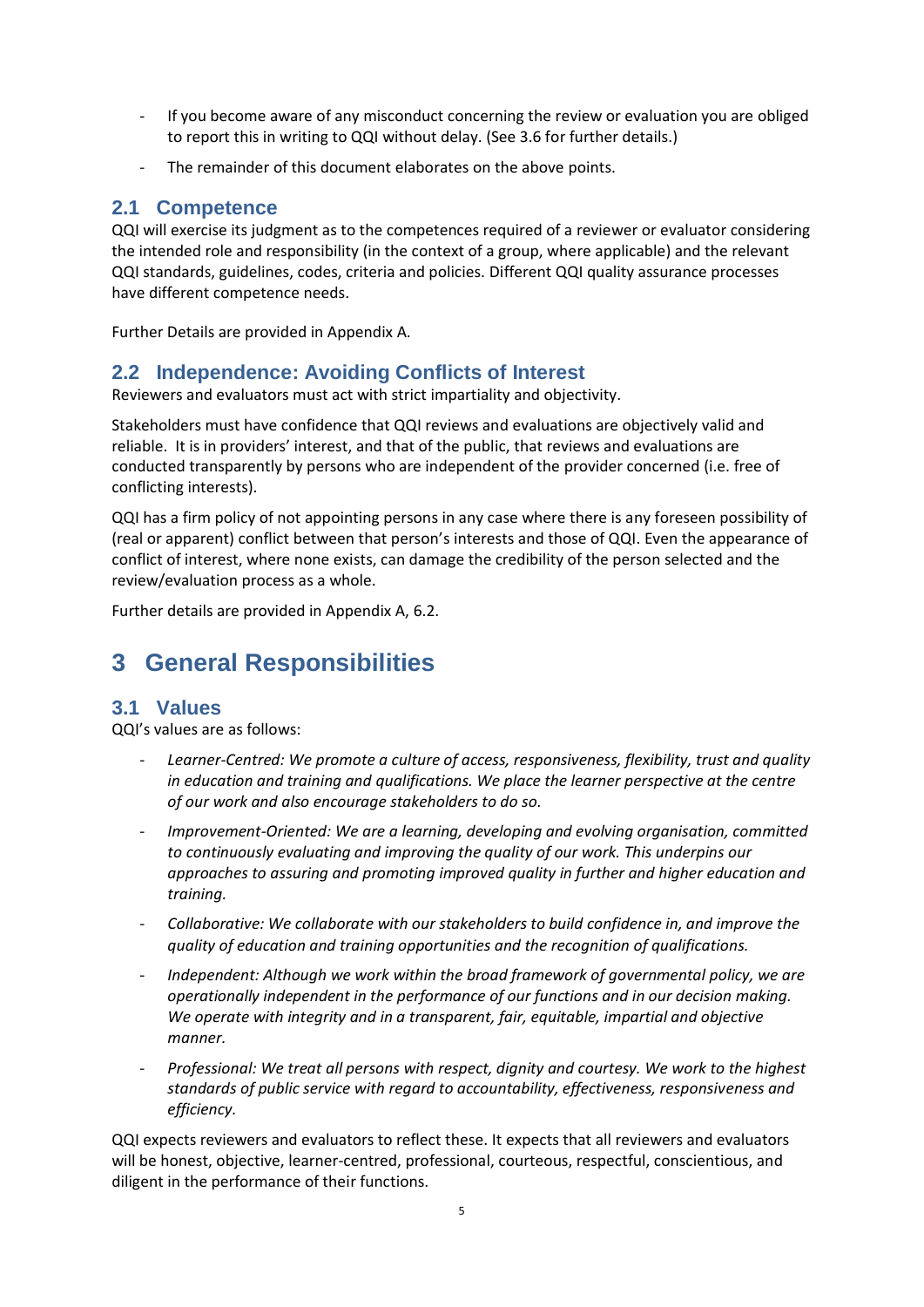- If you become aware of any misconduct concerning the review or evaluation you are obliged to report this in writing to QQI without delay. (See 3.6 for further details.)
- The remainder of this document elaborates on the above points.

### <span id="page-4-0"></span>**2.1 Competence**

QQI will exercise its judgment as to the competences required of a reviewer or evaluator considering the intended role and responsibility (in the context of a group, where applicable) and the relevant QQI standards, guidelines, codes, criteria and policies. Different QQI quality assurance processes have different competence needs.

Further Details are provided in Appendix A.

# <span id="page-4-1"></span>**2.2 Independence: Avoiding Conflicts of Interest**

Reviewers and evaluators must act with strict impartiality and objectivity.

Stakeholders must have confidence that QQI reviews and evaluations are objectively valid and reliable. It is in providers' interest, and that of the public, that reviews and evaluations are conducted transparently by persons who are independent of the provider concerned (i.e. free of conflicting interests).

QQI has a firm policy of not appointing persons in any case where there is any foreseen possibility of (real or apparent) conflict between that person's interests and those of QQI. Even the appearance of conflict of interest, where none exists, can damage the credibility of the person selected and the review/evaluation process as a whole.

Further details are provided in Appendix A, 6.2.

# <span id="page-4-2"></span>**3 General Responsibilities**

# <span id="page-4-3"></span>**3.1 Values**

QQI's values are as follows:

- *Learner-Centred: We promote a culture of access, responsiveness, flexibility, trust and quality in education and training and qualifications. We place the learner perspective at the centre of our work and also encourage stakeholders to do so.*
- *Improvement-Oriented: We are a learning, developing and evolving organisation, committed to continuously evaluating and improving the quality of our work. This underpins our approaches to assuring and promoting improved quality in further and higher education and training.*
- *Collaborative: We collaborate with our stakeholders to build confidence in, and improve the quality of education and training opportunities and the recognition of qualifications.*
- *Independent: Although we work within the broad framework of governmental policy, we are operationally independent in the performance of our functions and in our decision making. We operate with integrity and in a transparent, fair, equitable, impartial and objective manner.*
- *Professional: We treat all persons with respect, dignity and courtesy. We work to the highest standards of public service with regard to accountability, effectiveness, responsiveness and efficiency.*

QQI expects reviewers and evaluators to reflect these. It expects that all reviewers and evaluators will be honest, objective, learner-centred, professional, courteous, respectful, conscientious, and diligent in the performance of their functions.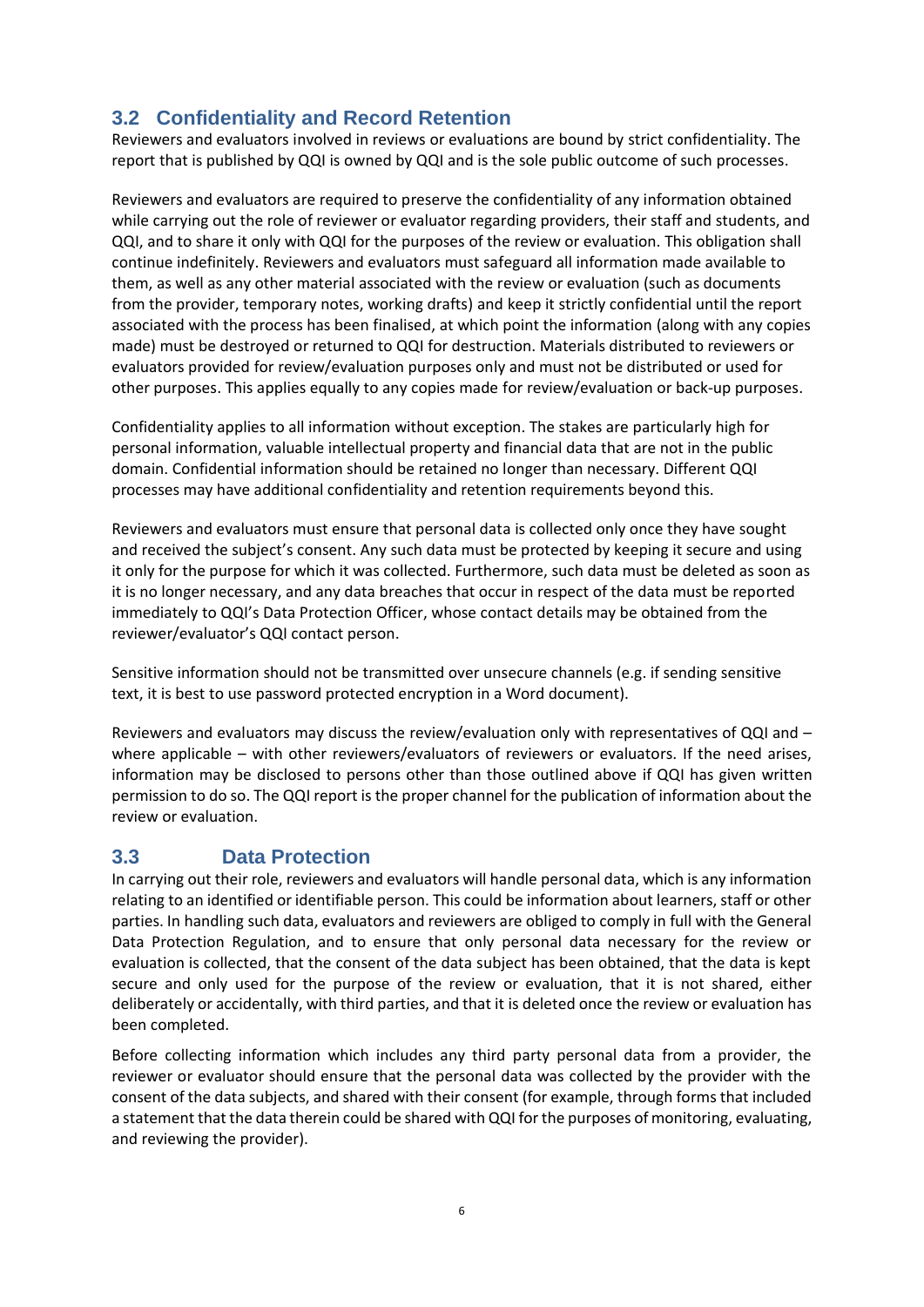# <span id="page-5-0"></span>**3.2 Confidentiality and Record Retention**

Reviewers and evaluators involved in reviews or evaluations are bound by strict confidentiality. The report that is published by QQI is owned by QQI and is the sole public outcome of such processes.

Reviewers and evaluators are required to preserve the confidentiality of any information obtained while carrying out the role of reviewer or evaluator regarding providers, their staff and students, and QQI, and to share it only with QQI for the purposes of the review or evaluation. This obligation shall continue indefinitely. Reviewers and evaluators must safeguard all information made available to them, as well as any other material associated with the review or evaluation (such as documents from the provider, temporary notes, working drafts) and keep it strictly confidential until the report associated with the process has been finalised, at which point the information (along with any copies made) must be destroyed or returned to QQI for destruction. Materials distributed to reviewers or evaluators provided for review/evaluation purposes only and must not be distributed or used for other purposes. This applies equally to any copies made for review/evaluation or back-up purposes.

Confidentiality applies to all information without exception. The stakes are particularly high for personal information, valuable intellectual property and financial data that are not in the public domain. Confidential information should be retained no longer than necessary. Different QQI processes may have additional confidentiality and retention requirements beyond this.

Reviewers and evaluators must ensure that personal data is collected only once they have sought and received the subject's consent. Any such data must be protected by keeping it secure and using it only for the purpose for which it was collected. Furthermore, such data must be deleted as soon as it is no longer necessary, and any data breaches that occur in respect of the data must be reported immediately to QQI's Data Protection Officer, whose contact details may be obtained from the reviewer/evaluator's QQI contact person.

Sensitive information should not be transmitted over unsecure channels (e.g. if sending sensitive text, it is best to use password protected encryption in a Word document).

Reviewers and evaluators may discuss the review/evaluation only with representatives of QQI and – where applicable – with other reviewers/evaluators of reviewers or evaluators. If the need arises, information may be disclosed to persons other than those outlined above if QQI has given written permission to do so. The QQI report is the proper channel for the publication of information about the review or evaluation.

# <span id="page-5-1"></span>**3.3 Data Protection**

In carrying out their role, reviewers and evaluators will handle personal data, which is any information relating to an identified or identifiable person. This could be information about learners, staff or other parties. In handling such data, evaluators and reviewers are obliged to comply in full with the General Data Protection Regulation, and to ensure that only personal data necessary for the review or evaluation is collected, that the consent of the data subject has been obtained, that the data is kept secure and only used for the purpose of the review or evaluation, that it is not shared, either deliberately or accidentally, with third parties, and that it is deleted once the review or evaluation has been completed.

Before collecting information which includes any third party personal data from a provider, the reviewer or evaluator should ensure that the personal data was collected by the provider with the consent of the data subjects, and shared with their consent (for example, through forms that included a statement that the data therein could be shared with QQI for the purposes of monitoring, evaluating, and reviewing the provider).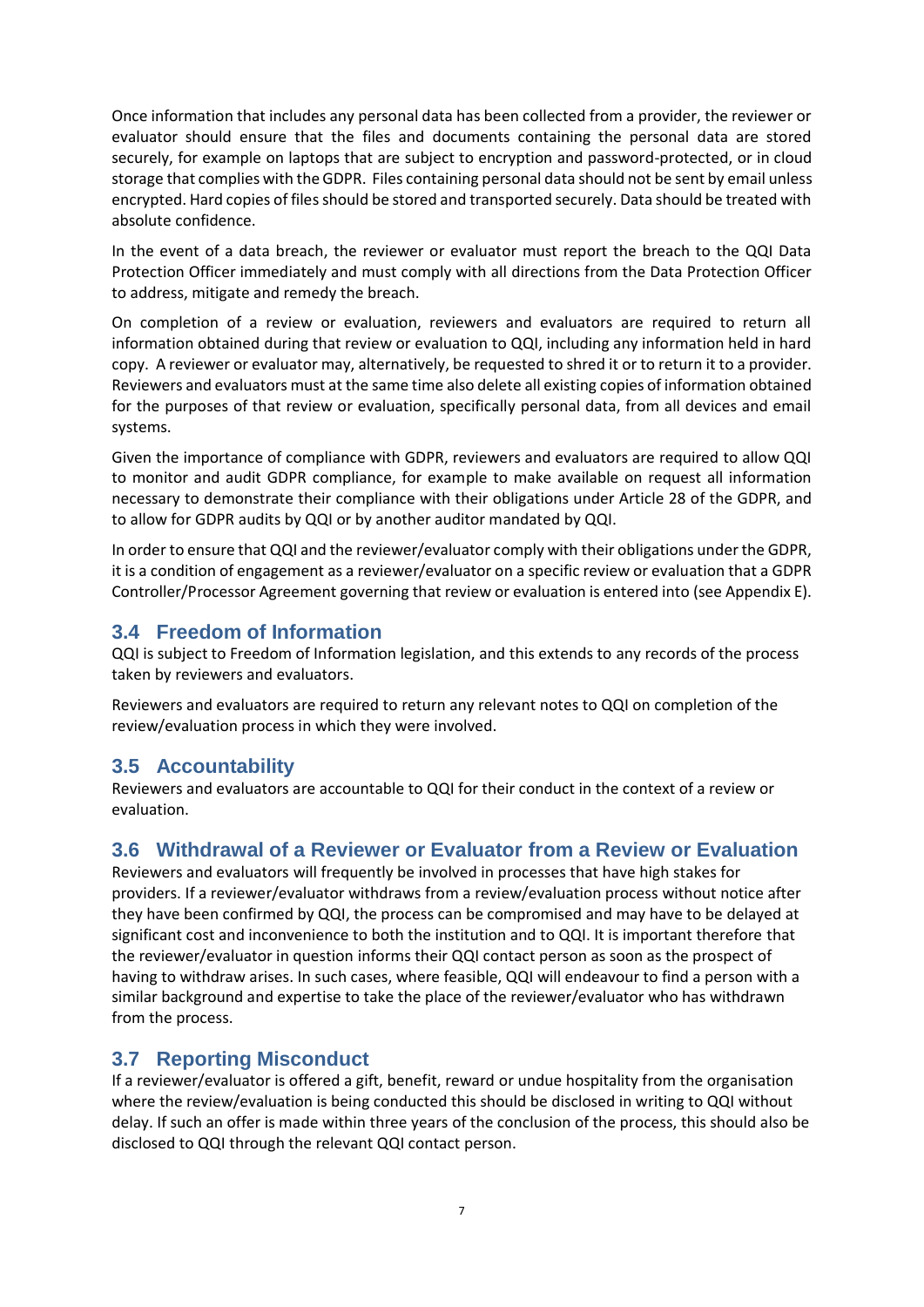Once information that includes any personal data has been collected from a provider, the reviewer or evaluator should ensure that the files and documents containing the personal data are stored securely, for example on laptops that are subject to encryption and password-protected, or in cloud storage that complies with the GDPR. Files containing personal data should not be sent by email unless encrypted. Hard copies of files should be stored and transported securely. Data should be treated with absolute confidence.

In the event of a data breach, the reviewer or evaluator must report the breach to the QQI Data Protection Officer immediately and must comply with all directions from the Data Protection Officer to address, mitigate and remedy the breach.

On completion of a review or evaluation, reviewers and evaluators are required to return all information obtained during that review or evaluation to QQI, including any information held in hard copy. A reviewer or evaluator may, alternatively, be requested to shred it or to return it to a provider. Reviewers and evaluators must at the same time also delete all existing copies of information obtained for the purposes of that review or evaluation, specifically personal data, from all devices and email systems.

Given the importance of compliance with GDPR, reviewers and evaluators are required to allow QQI to monitor and audit GDPR compliance, for example to make available on request all information necessary to demonstrate their compliance with their obligations under Article 28 of the GDPR, and to allow for GDPR audits by QQI or by another auditor mandated by QQI.

In order to ensure that QQI and the reviewer/evaluator comply with their obligations under the GDPR, it is a condition of engagement as a reviewer/evaluator on a specific review or evaluation that a GDPR Controller/Processor Agreement governing that review or evaluation is entered into (see Appendix E).

# <span id="page-6-0"></span>**3.4 Freedom of Information**

QQI is subject to Freedom of Information legislation, and this extends to any records of the process taken by reviewers and evaluators.

Reviewers and evaluators are required to return any relevant notes to QQI on completion of the review/evaluation process in which they were involved.

# <span id="page-6-1"></span>**3.5 Accountability**

Reviewers and evaluators are accountable to QQI for their conduct in the context of a review or evaluation.

# <span id="page-6-2"></span>**3.6 Withdrawal of a Reviewer or Evaluator from a Review or Evaluation**

Reviewers and evaluators will frequently be involved in processes that have high stakes for providers. If a reviewer/evaluator withdraws from a review/evaluation process without notice after they have been confirmed by QQI, the process can be compromised and may have to be delayed at significant cost and inconvenience to both the institution and to QQI. It is important therefore that the reviewer/evaluator in question informs their QQI contact person as soon as the prospect of having to withdraw arises. In such cases, where feasible, QQI will endeavour to find a person with a similar background and expertise to take the place of the reviewer/evaluator who has withdrawn from the process.

# <span id="page-6-3"></span>**3.7 Reporting Misconduct**

If a reviewer/evaluator is offered a gift, benefit, reward or undue hospitality from the organisation where the review/evaluation is being conducted this should be disclosed in writing to QQI without delay. If such an offer is made within three years of the conclusion of the process, this should also be disclosed to QQI through the relevant QQI contact person.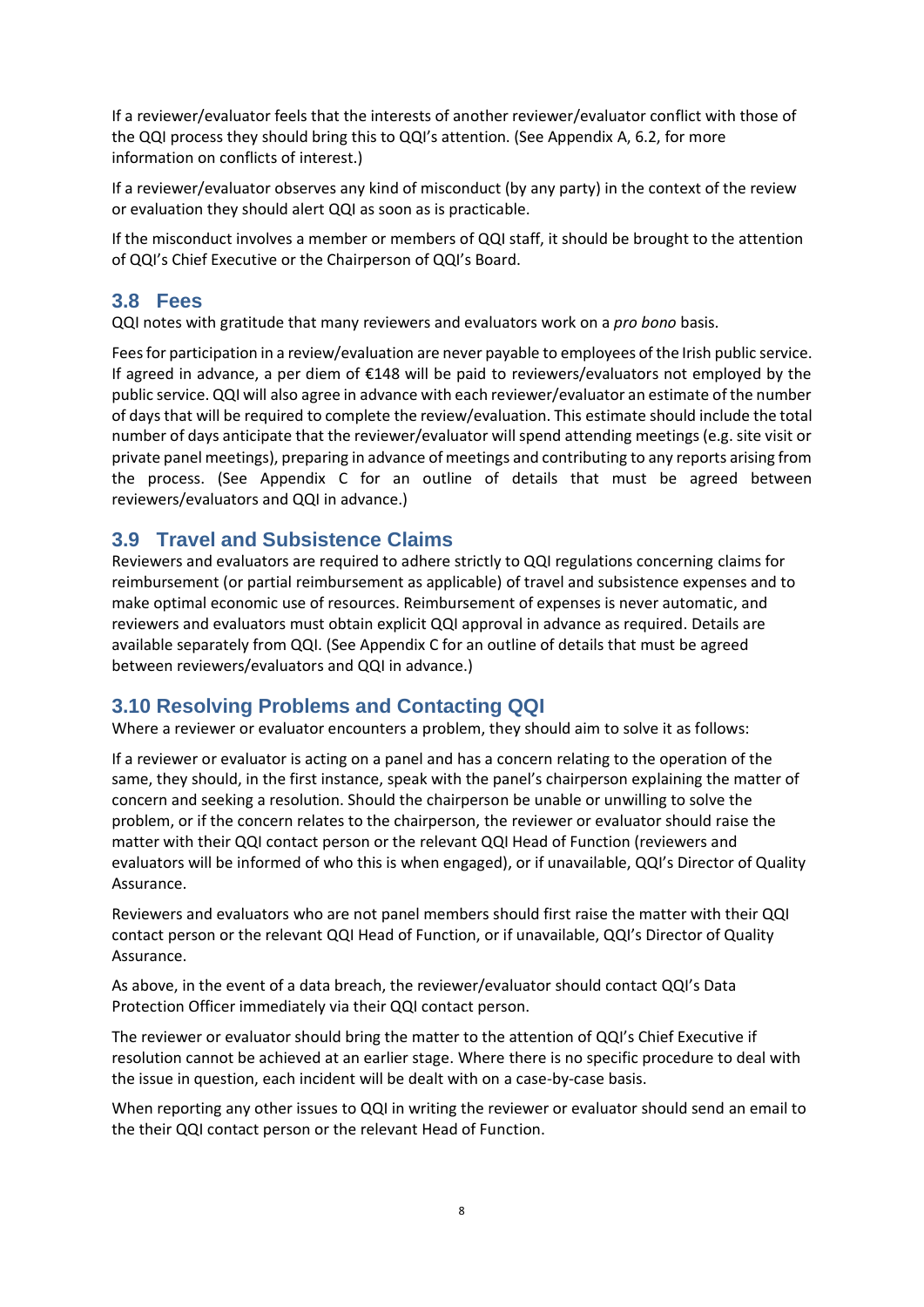If a reviewer/evaluator feels that the interests of another reviewer/evaluator conflict with those of the QQI process they should bring this to QQI's attention. (See Appendix A, 6.2, for more information on conflicts of interest.)

If a reviewer/evaluator observes any kind of misconduct (by any party) in the context of the review or evaluation they should alert QQI as soon as is practicable.

If the misconduct involves a member or members of QQI staff, it should be brought to the attention of QQI's Chief Executive or the Chairperson of QQI's Board.

### <span id="page-7-0"></span>**3.8 Fees**

QQI notes with gratitude that many reviewers and evaluators work on a *pro bono* basis.

Fees for participation in a review/evaluation are never payable to employees of the Irish public service. If agreed in advance, a per diem of €148 will be paid to reviewers/evaluators not employed by the public service. QQI will also agree in advance with each reviewer/evaluator an estimate of the number of days that will be required to complete the review/evaluation. This estimate should include the total number of days anticipate that the reviewer/evaluator will spend attending meetings (e.g. site visit or private panel meetings), preparing in advance of meetings and contributing to any reports arising from the process. (See Appendix C for an outline of details that must be agreed between reviewers/evaluators and QQI in advance.)

### <span id="page-7-1"></span>**3.9 Travel and Subsistence Claims**

Reviewers and evaluators are required to adhere strictly to QQI regulations concerning claims for reimbursement (or partial reimbursement as applicable) of travel and subsistence expenses and to make optimal economic use of resources. Reimbursement of expenses is never automatic, and reviewers and evaluators must obtain explicit QQI approval in advance as required. Details are available separately from QQI. (See Appendix C for an outline of details that must be agreed between reviewers/evaluators and QQI in advance.)

# <span id="page-7-2"></span>**3.10 Resolving Problems and Contacting QQI**

Where a reviewer or evaluator encounters a problem, they should aim to solve it as follows:

If a reviewer or evaluator is acting on a panel and has a concern relating to the operation of the same, they should, in the first instance, speak with the panel's chairperson explaining the matter of concern and seeking a resolution. Should the chairperson be unable or unwilling to solve the problem, or if the concern relates to the chairperson, the reviewer or evaluator should raise the matter with their QQI contact person or the relevant QQI Head of Function (reviewers and evaluators will be informed of who this is when engaged), or if unavailable, QQI's Director of Quality Assurance.

Reviewers and evaluators who are not panel members should first raise the matter with their QQI contact person or the relevant QQI Head of Function, or if unavailable, QQI's Director of Quality Assurance.

As above, in the event of a data breach, the reviewer/evaluator should contact QQI's Data Protection Officer immediately via their QQI contact person.

The reviewer or evaluator should bring the matter to the attention of QQI's Chief Executive if resolution cannot be achieved at an earlier stage. Where there is no specific procedure to deal with the issue in question, each incident will be dealt with on a case-by-case basis.

When reporting any other issues to QQI in writing the reviewer or evaluator should send an email to the their QQI contact person or the relevant Head of Function.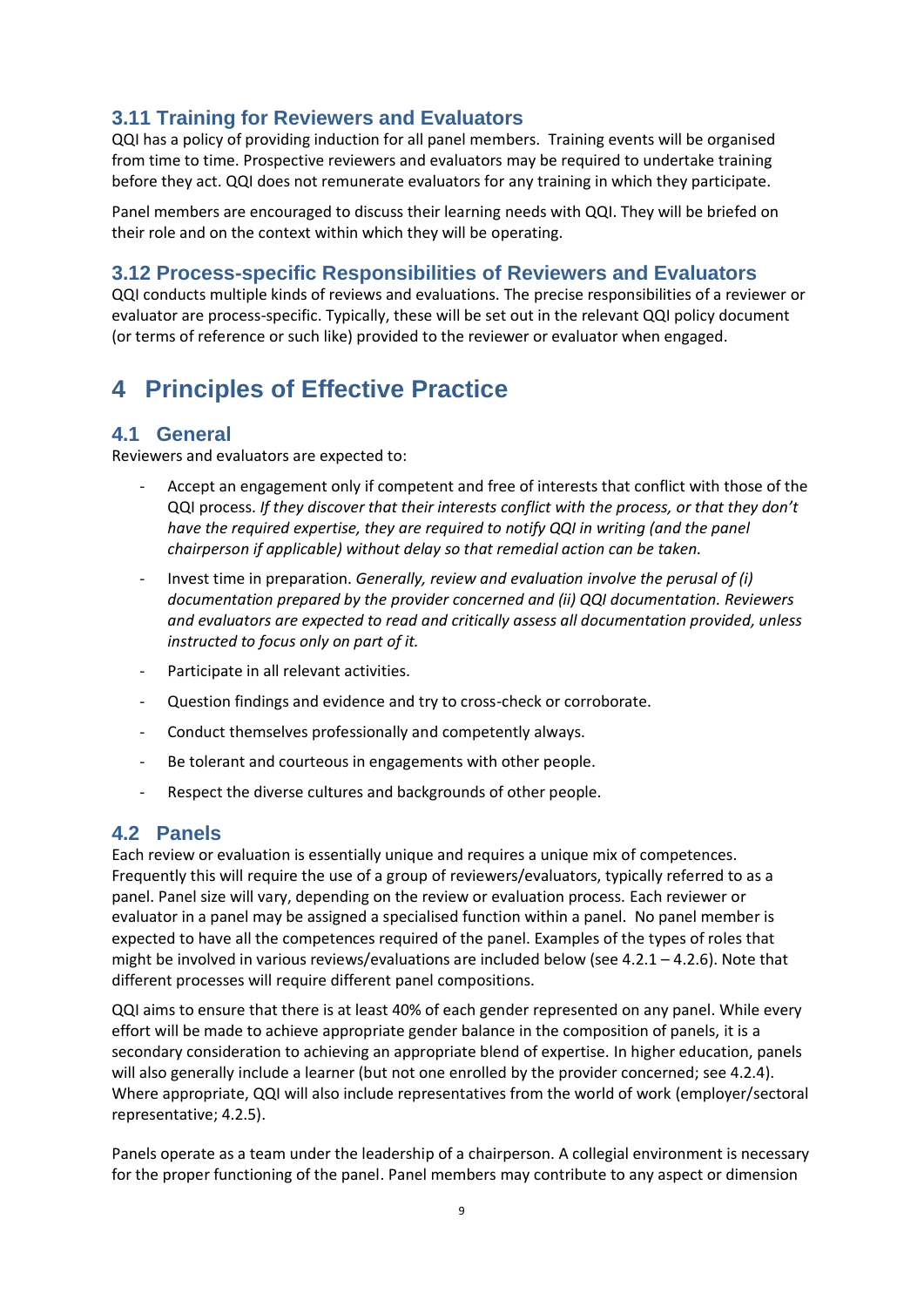# <span id="page-8-0"></span>**3.11 Training for Reviewers and Evaluators**

QQI has a policy of providing induction for all panel members. Training events will be organised from time to time. Prospective reviewers and evaluators may be required to undertake training before they act. QQI does not remunerate evaluators for any training in which they participate.

Panel members are encouraged to discuss their learning needs with QQI. They will be briefed on their role and on the context within which they will be operating.

### <span id="page-8-1"></span>**3.12 Process-specific Responsibilities of Reviewers and Evaluators**

QQI conducts multiple kinds of reviews and evaluations. The precise responsibilities of a reviewer or evaluator are process-specific. Typically, these will be set out in the relevant QQI policy document (or terms of reference or such like) provided to the reviewer or evaluator when engaged.

# <span id="page-8-2"></span>**4 Principles of Effective Practice**

# <span id="page-8-3"></span>**4.1 General**

Reviewers and evaluators are expected to:

- Accept an engagement only if competent and free of interests that conflict with those of the QQI process. *If they discover that their interests conflict with the process, or that they don't have the required expertise, they are required to notify QQI in writing (and the panel chairperson if applicable) without delay so that remedial action can be taken.*
- Invest time in preparation. *Generally, review and evaluation involve the perusal of (i) documentation prepared by the provider concerned and (ii) QQI documentation. Reviewers and evaluators are expected to read and critically assess all documentation provided, unless instructed to focus only on part of it.*
- Participate in all relevant activities.
- Question findings and evidence and try to cross-check or corroborate.
- Conduct themselves professionally and competently always.
- Be tolerant and courteous in engagements with other people.
- Respect the diverse cultures and backgrounds of other people.

# <span id="page-8-4"></span>**4.2 Panels**

Each review or evaluation is essentially unique and requires a unique mix of competences. Frequently this will require the use of a group of reviewers/evaluators, typically referred to as a panel. Panel size will vary, depending on the review or evaluation process. Each reviewer or evaluator in a panel may be assigned a specialised function within a panel. No panel member is expected to have all the competences required of the panel. Examples of the types of roles that might be involved in various reviews/evaluations are included below (see 4.2.1 – 4.2.6). Note that different processes will require different panel compositions.

QQI aims to ensure that there is at least 40% of each gender represented on any panel. While every effort will be made to achieve appropriate gender balance in the composition of panels, it is a secondary consideration to achieving an appropriate blend of expertise. In higher education, panels will also generally include a learner (but not one enrolled by the provider concerned; see 4.2.4). Where appropriate, QQI will also include representatives from the world of work (employer/sectoral representative; 4.2.5).

Panels operate as a team under the leadership of a chairperson. A collegial environment is necessary for the proper functioning of the panel. Panel members may contribute to any aspect or dimension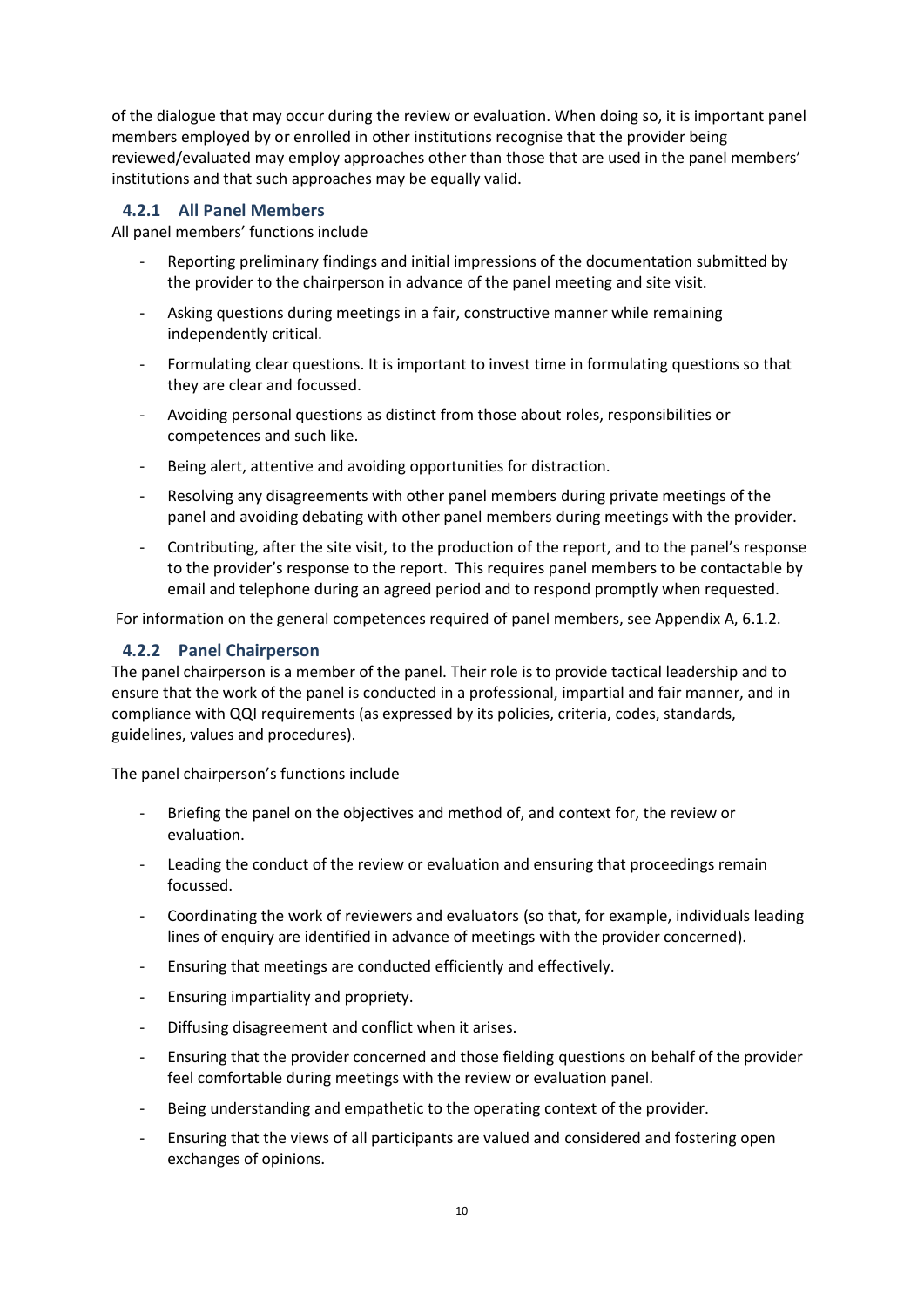of the dialogue that may occur during the review or evaluation. When doing so, it is important panel members employed by or enrolled in other institutions recognise that the provider being reviewed/evaluated may employ approaches other than those that are used in the panel members' institutions and that such approaches may be equally valid.

#### <span id="page-9-0"></span>**4.2.1 All Panel Members**

All panel members' functions include

- Reporting preliminary findings and initial impressions of the documentation submitted by the provider to the chairperson in advance of the panel meeting and site visit.
- Asking questions during meetings in a fair, constructive manner while remaining independently critical.
- Formulating clear questions. It is important to invest time in formulating questions so that they are clear and focussed.
- Avoiding personal questions as distinct from those about roles, responsibilities or competences and such like.
- Being alert, attentive and avoiding opportunities for distraction.
- Resolving any disagreements with other panel members during private meetings of the panel and avoiding debating with other panel members during meetings with the provider.
- Contributing, after the site visit, to the production of the report, and to the panel's response to the provider's response to the report. This requires panel members to be contactable by email and telephone during an agreed period and to respond promptly when requested.

For information on the general competences required of panel members, see Appendix A, 6.1.2.

#### <span id="page-9-1"></span>**4.2.2 Panel Chairperson**

The panel chairperson is a member of the panel. Their role is to provide tactical leadership and to ensure that the work of the panel is conducted in a professional, impartial and fair manner, and in compliance with QQI requirements (as expressed by its policies, criteria, codes, standards, guidelines, values and procedures).

The panel chairperson's functions include

- Briefing the panel on the objectives and method of, and context for, the review or evaluation.
- Leading the conduct of the review or evaluation and ensuring that proceedings remain focussed.
- Coordinating the work of reviewers and evaluators (so that, for example, individuals leading lines of enquiry are identified in advance of meetings with the provider concerned).
- Ensuring that meetings are conducted efficiently and effectively.
- Ensuring impartiality and propriety.
- Diffusing disagreement and conflict when it arises.
- Ensuring that the provider concerned and those fielding questions on behalf of the provider feel comfortable during meetings with the review or evaluation panel.
- Being understanding and empathetic to the operating context of the provider.
- Ensuring that the views of all participants are valued and considered and fostering open exchanges of opinions.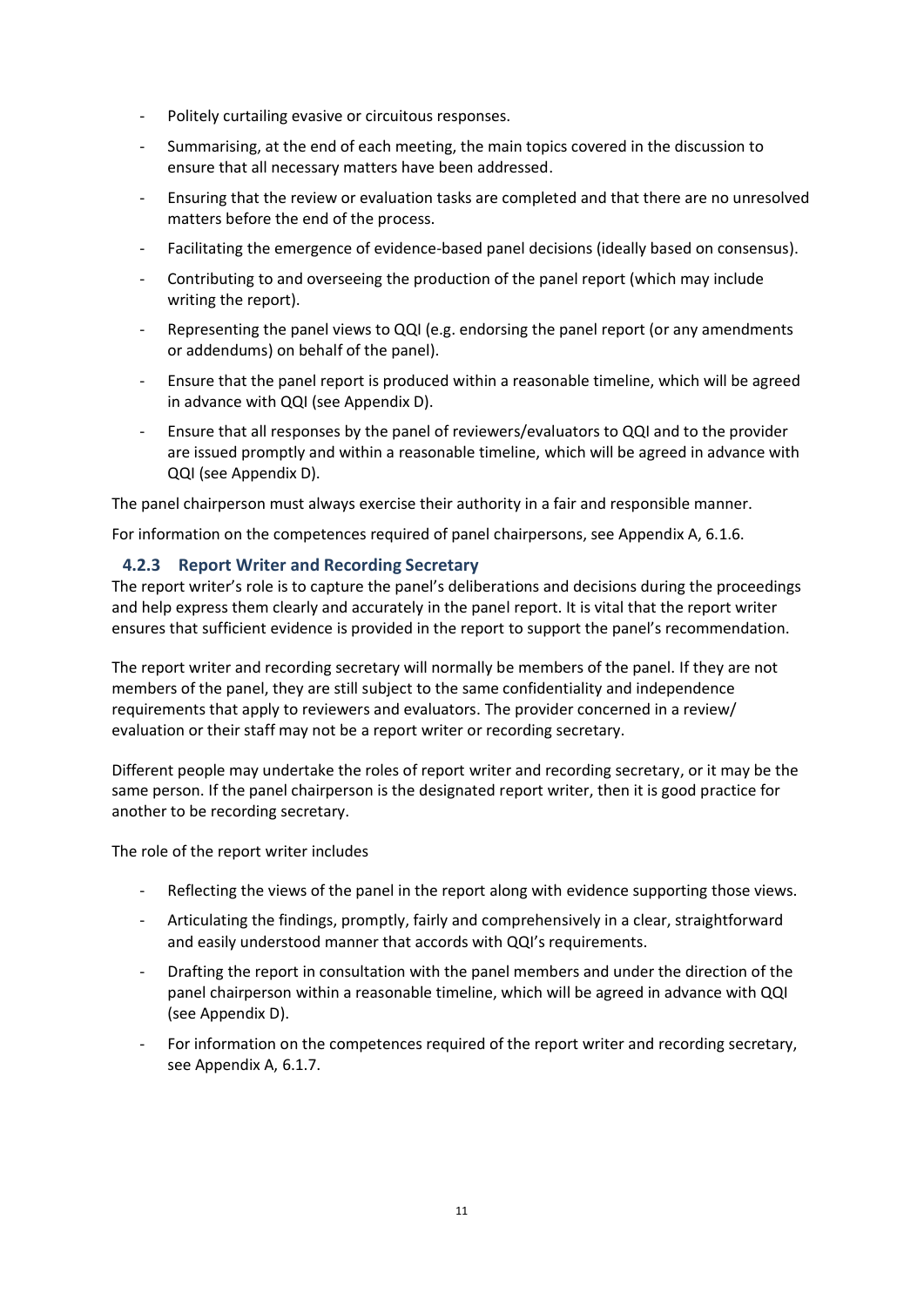- Politely curtailing evasive or circuitous responses.
- Summarising, at the end of each meeting, the main topics covered in the discussion to ensure that all necessary matters have been addressed.
- Ensuring that the review or evaluation tasks are completed and that there are no unresolved matters before the end of the process.
- Facilitating the emergence of evidence-based panel decisions (ideally based on consensus).
- Contributing to and overseeing the production of the panel report (which may include writing the report).
- Representing the panel views to QQI (e.g. endorsing the panel report (or any amendments or addendums) on behalf of the panel).
- Ensure that the panel report is produced within a reasonable timeline, which will be agreed in advance with QQI (see Appendix D).
- Ensure that all responses by the panel of reviewers/evaluators to QQI and to the provider are issued promptly and within a reasonable timeline, which will be agreed in advance with QQI (see Appendix D).

The panel chairperson must always exercise their authority in a fair and responsible manner.

For information on the competences required of panel chairpersons, see Appendix A, 6.1.6.

#### <span id="page-10-0"></span>**4.2.3 Report Writer and Recording Secretary**

The report writer's role is to capture the panel's deliberations and decisions during the proceedings and help express them clearly and accurately in the panel report. It is vital that the report writer ensures that sufficient evidence is provided in the report to support the panel's recommendation.

The report writer and recording secretary will normally be members of the panel. If they are not members of the panel, they are still subject to the same confidentiality and independence requirements that apply to reviewers and evaluators. The provider concerned in a review/ evaluation or their staff may not be a report writer or recording secretary.

Different people may undertake the roles of report writer and recording secretary, or it may be the same person. If the panel chairperson is the designated report writer, then it is good practice for another to be recording secretary.

The role of the report writer includes

- Reflecting the views of the panel in the report along with evidence supporting those views.
- Articulating the findings, promptly, fairly and comprehensively in a clear, straightforward and easily understood manner that accords with QQI's requirements.
- Drafting the report in consultation with the panel members and under the direction of the panel chairperson within a reasonable timeline, which will be agreed in advance with QQI (see Appendix D).
- For information on the competences required of the report writer and recording secretary, see Appendix A, 6.1.7.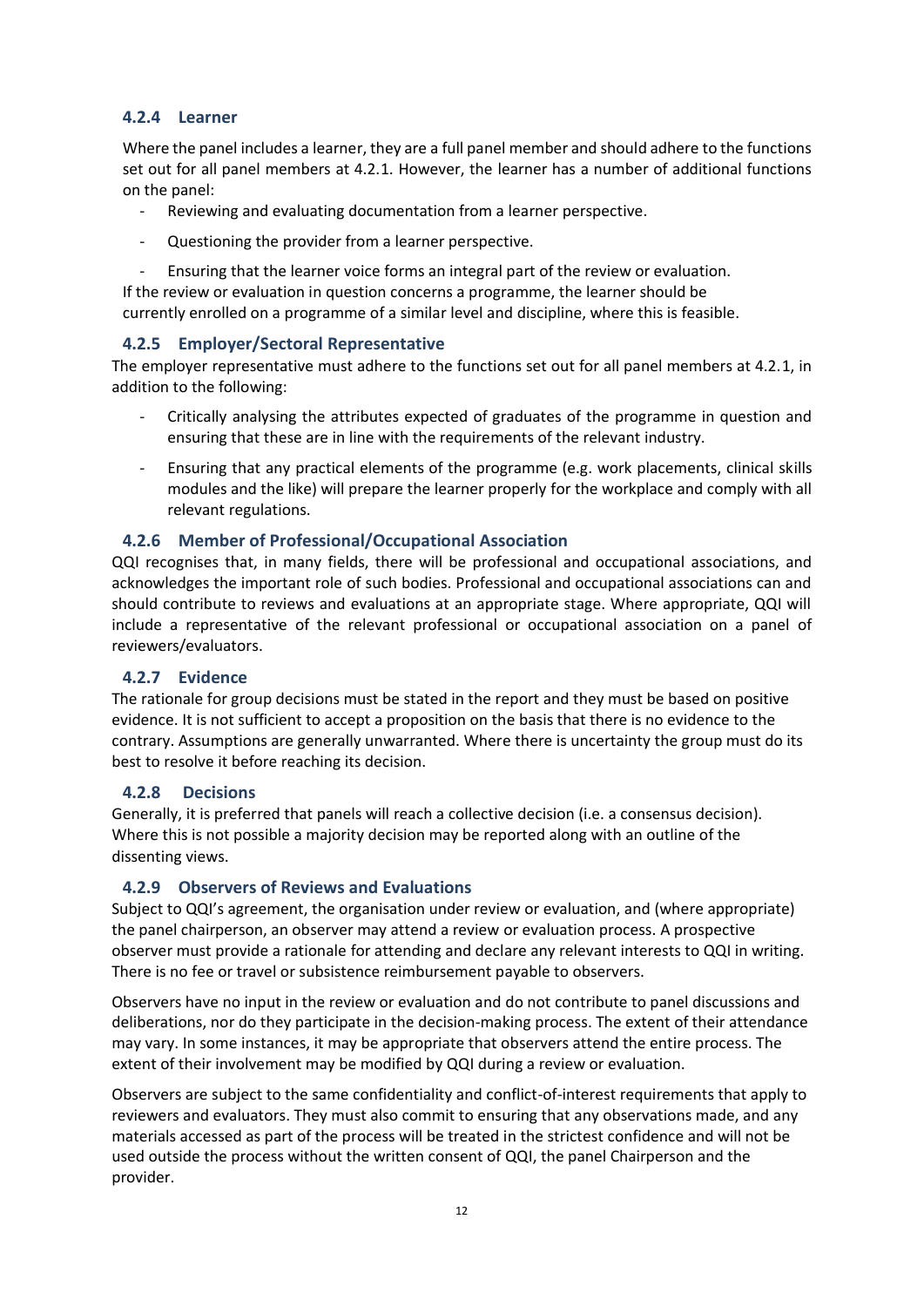#### <span id="page-11-0"></span>**4.2.4 Learner**

Where the panel includes a learner, they are a full panel member and should adhere to the functions set out for all panel members at 4.2.1. However, the learner has a number of additional functions on the panel:

- Reviewing and evaluating documentation from a learner perspective.
- Questioning the provider from a learner perspective.
- Ensuring that the learner voice forms an integral part of the review or evaluation.

If the review or evaluation in question concerns a programme, the learner should be currently enrolled on a programme of a similar level and discipline, where this is feasible.

#### <span id="page-11-1"></span>**4.2.5 Employer/Sectoral Representative**

The employer representative must adhere to the functions set out for all panel members at 4.2.1, in addition to the following:

- Critically analysing the attributes expected of graduates of the programme in question and ensuring that these are in line with the requirements of the relevant industry.
- Ensuring that any practical elements of the programme (e.g. work placements, clinical skills modules and the like) will prepare the learner properly for the workplace and comply with all relevant regulations.

#### <span id="page-11-2"></span>**4.2.6 Member of Professional/Occupational Association**

QQI recognises that, in many fields, there will be professional and occupational associations, and acknowledges the important role of such bodies. Professional and occupational associations can and should contribute to reviews and evaluations at an appropriate stage. Where appropriate, QQI will include a representative of the relevant professional or occupational association on a panel of reviewers/evaluators.

#### <span id="page-11-3"></span>**4.2.7 Evidence**

The rationale for group decisions must be stated in the report and they must be based on positive evidence. It is not sufficient to accept a proposition on the basis that there is no evidence to the contrary. Assumptions are generally unwarranted. Where there is uncertainty the group must do its best to resolve it before reaching its decision.

#### <span id="page-11-4"></span>**4.2.8 Decisions**

Generally, it is preferred that panels will reach a collective decision (i.e. a consensus decision). Where this is not possible a majority decision may be reported along with an outline of the dissenting views.

#### <span id="page-11-5"></span>**4.2.9 Observers of Reviews and Evaluations**

Subject to QQI's agreement, the organisation under review or evaluation, and (where appropriate) the panel chairperson, an observer may attend a review or evaluation process. A prospective observer must provide a rationale for attending and declare any relevant interests to QQI in writing. There is no fee or travel or subsistence reimbursement payable to observers.

Observers have no input in the review or evaluation and do not contribute to panel discussions and deliberations, nor do they participate in the decision-making process. The extent of their attendance may vary. In some instances, it may be appropriate that observers attend the entire process. The extent of their involvement may be modified by QQI during a review or evaluation.

Observers are subject to the same confidentiality and conflict-of-interest requirements that apply to reviewers and evaluators. They must also commit to ensuring that any observations made, and any materials accessed as part of the process will be treated in the strictest confidence and will not be used outside the process without the written consent of QQI, the panel Chairperson and the provider.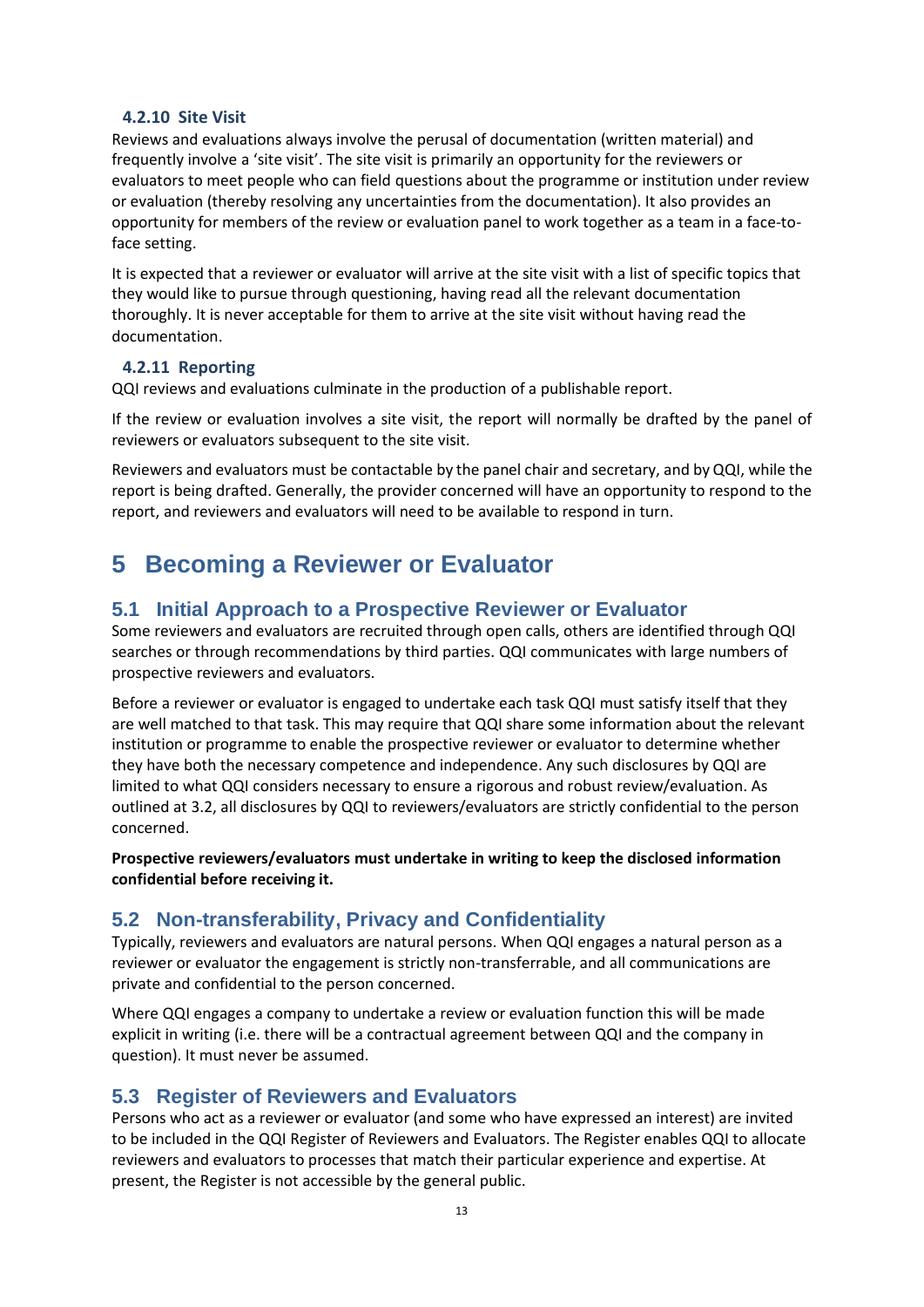#### <span id="page-12-0"></span>**4.2.10 Site Visit**

Reviews and evaluations always involve the perusal of documentation (written material) and frequently involve a 'site visit'. The site visit is primarily an opportunity for the reviewers or evaluators to meet people who can field questions about the programme or institution under review or evaluation (thereby resolving any uncertainties from the documentation). It also provides an opportunity for members of the review or evaluation panel to work together as a team in a face-toface setting.

It is expected that a reviewer or evaluator will arrive at the site visit with a list of specific topics that they would like to pursue through questioning, having read all the relevant documentation thoroughly. It is never acceptable for them to arrive at the site visit without having read the documentation.

#### <span id="page-12-1"></span>**4.2.11 Reporting**

QQI reviews and evaluations culminate in the production of a publishable report.

If the review or evaluation involves a site visit, the report will normally be drafted by the panel of reviewers or evaluators subsequent to the site visit.

Reviewers and evaluators must be contactable by the panel chair and secretary, and by QQI, while the report is being drafted. Generally, the provider concerned will have an opportunity to respond to the report, and reviewers and evaluators will need to be available to respond in turn.

# <span id="page-12-2"></span>**5 Becoming a Reviewer or Evaluator**

### <span id="page-12-3"></span>**5.1 Initial Approach to a Prospective Reviewer or Evaluator**

Some reviewers and evaluators are recruited through open calls, others are identified through QQI searches or through recommendations by third parties. QQI communicates with large numbers of prospective reviewers and evaluators.

Before a reviewer or evaluator is engaged to undertake each task QQI must satisfy itself that they are well matched to that task. This may require that QQI share some information about the relevant institution or programme to enable the prospective reviewer or evaluator to determine whether they have both the necessary competence and independence. Any such disclosures by QQI are limited to what QQI considers necessary to ensure a rigorous and robust review/evaluation. As outlined at 3.2, all disclosures by QQI to reviewers/evaluators are strictly confidential to the person concerned.

**Prospective reviewers/evaluators must undertake in writing to keep the disclosed information confidential before receiving it.**

# <span id="page-12-4"></span>**5.2 Non-transferability, Privacy and Confidentiality**

Typically, reviewers and evaluators are natural persons. When QQI engages a natural person as a reviewer or evaluator the engagement is strictly non-transferrable, and all communications are private and confidential to the person concerned.

Where QQI engages a company to undertake a review or evaluation function this will be made explicit in writing (i.e. there will be a contractual agreement between QQI and the company in question). It must never be assumed.

# <span id="page-12-5"></span>**5.3 Register of Reviewers and Evaluators**

Persons who act as a reviewer or evaluator (and some who have expressed an interest) are invited to be included in the QQI Register of Reviewers and Evaluators. The Register enables QQI to allocate reviewers and evaluators to processes that match their particular experience and expertise. At present, the Register is not accessible by the general public.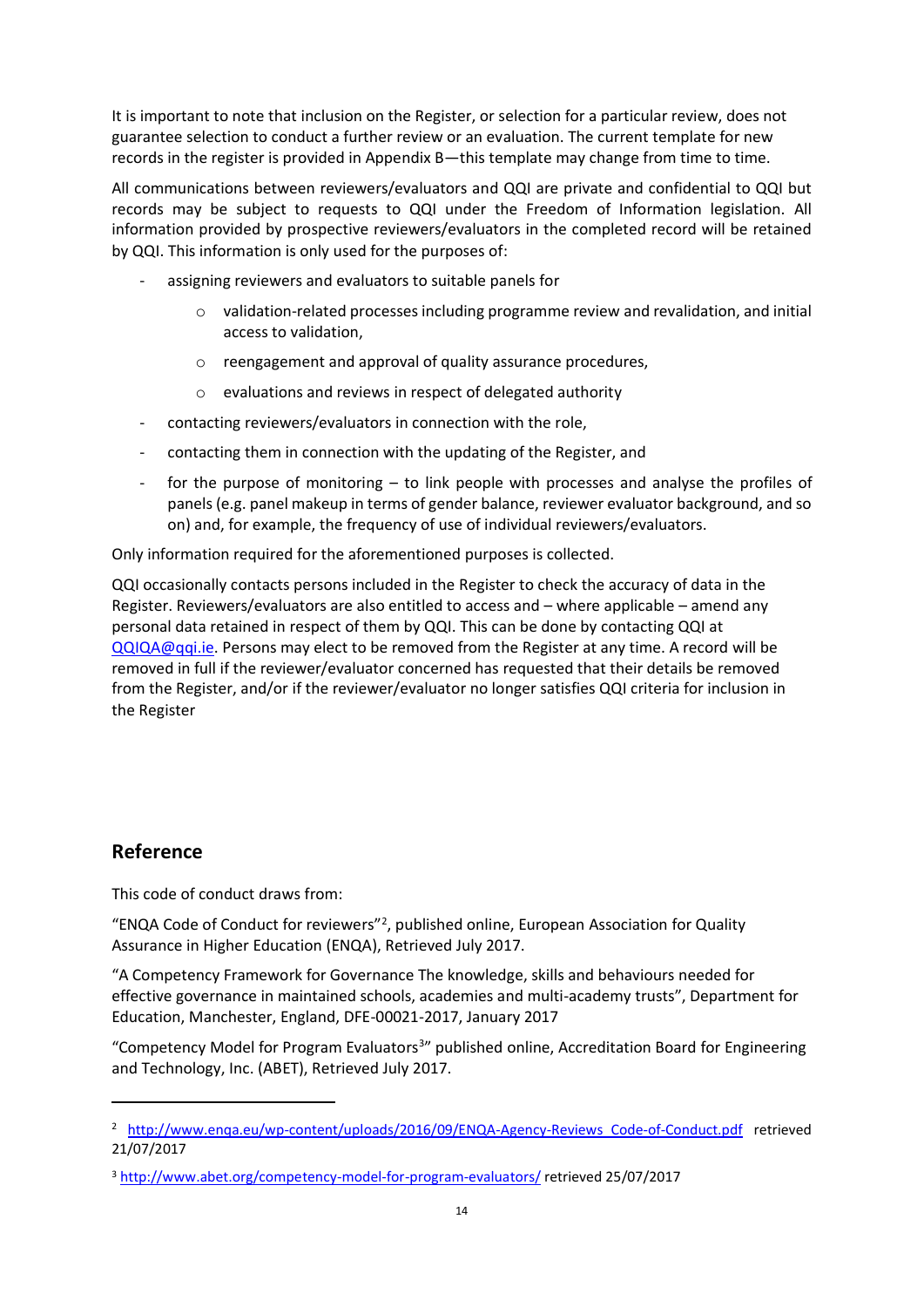It is important to note that inclusion on the Register, or selection for a particular review, does not guarantee selection to conduct a further review or an evaluation. The current template for new records in the register is provided in Appendix B—this template may change from time to time.

All communications between reviewers/evaluators and QQI are private and confidential to QQI but records may be subject to requests to QQI under the Freedom of Information legislation. All information provided by prospective reviewers/evaluators in the completed record will be retained by QQI. This information is only used for the purposes of:

- assigning reviewers and evaluators to suitable panels for
	- o validation-related processes including programme review and revalidation, and initial access to validation,
	- o reengagement and approval of quality assurance procedures,
	- o evaluations and reviews in respect of delegated authority
- contacting reviewers/evaluators in connection with the role,
- contacting them in connection with the updating of the Register, and
- for the purpose of monitoring  $-$  to link people with processes and analyse the profiles of panels (e.g. panel makeup in terms of gender balance, reviewer evaluator background, and so on) and, for example, the frequency of use of individual reviewers/evaluators.

Only information required for the aforementioned purposes is collected.

QQI occasionally contacts persons included in the Register to check the accuracy of data in the Register. Reviewers/evaluators are also entitled to access and – where applicable – amend any personal data retained in respect of them by QQI. This can be done by contacting QQI at [QQIQA@qqi.ie.](mailto:QQIQA@qqi.ie) Persons may elect to be removed from the Register at any time. A record will be removed in full if the reviewer/evaluator concerned has requested that their details be removed from the Register, and/or if the reviewer/evaluator no longer satisfies QQI criteria for inclusion in the Register

# **Reference**

.

This code of conduct draws from:

"ENQA Code of Conduct for reviewers"<sup>2</sup> , published online, European Association for Quality Assurance in Higher Education (ENQA), Retrieved July 2017.

"A Competency Framework for Governance The knowledge, skills and behaviours needed for effective governance in maintained schools, academies and multi-academy trusts", Department for Education, Manchester, England, DFE-00021-2017, January 2017

"Competency Model for Program Evaluators<sup>3</sup>" published online, Accreditation Board for Engineering and Technology, Inc. (ABET), Retrieved July 2017.

<sup>&</sup>lt;sup>2</sup> [http://www.enqa.eu/wp-content/uploads/2016/09/ENQA-Agency-Reviews\\_Code-of-Conduct.pdf](http://www.enqa.eu/wp-content/uploads/2016/09/ENQA-Agency-Reviews_Code-of-Conduct.pdf) retrieved 21/07/2017

<sup>3</sup> <http://www.abet.org/competency-model-for-program-evaluators/> retrieved 25/07/2017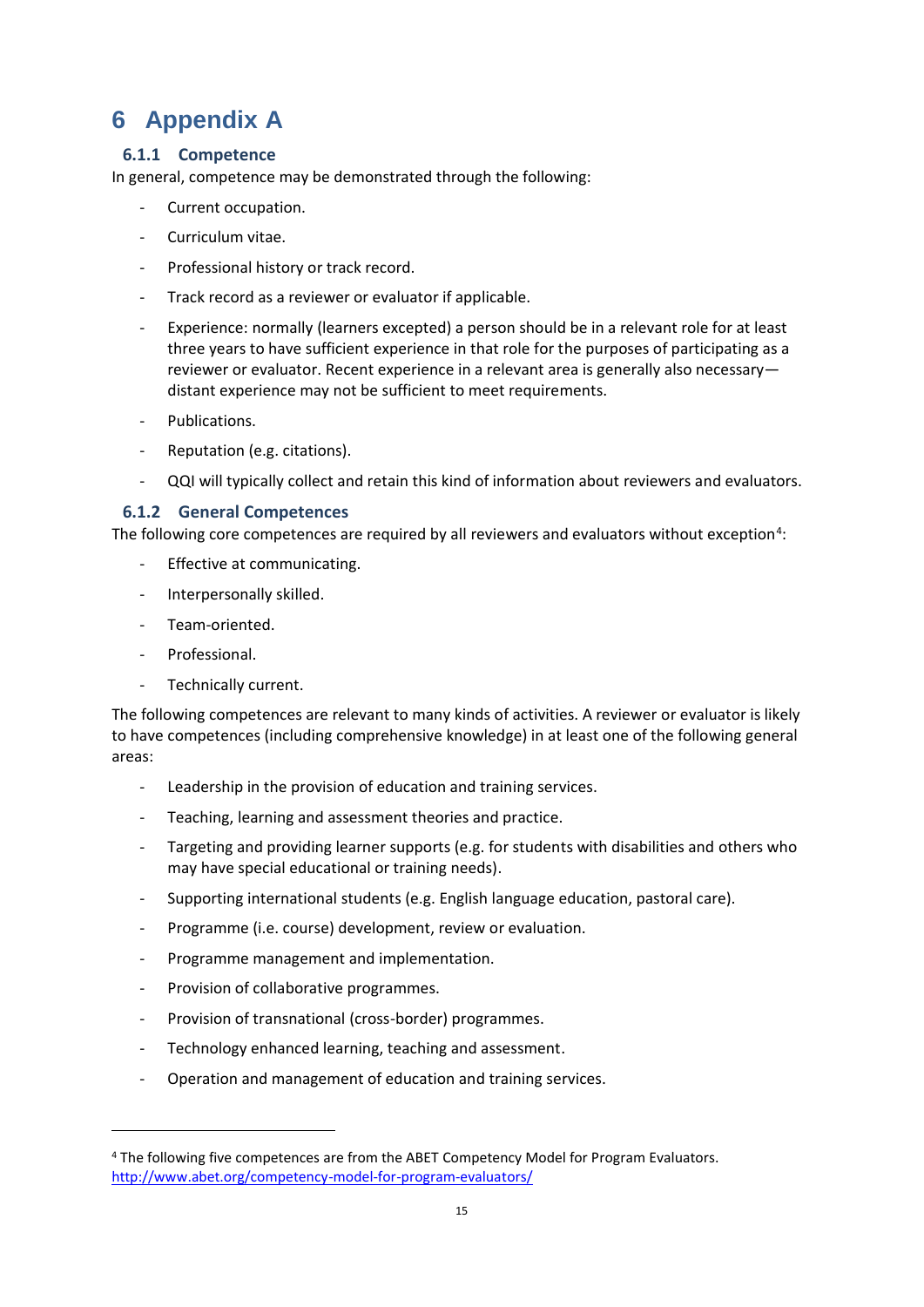# <span id="page-14-0"></span>**6 Appendix A**

### <span id="page-14-1"></span>**6.1.1 Competence**

In general, competence may be demonstrated through the following:

- Current occupation.
- Curriculum vitae.
- Professional history or track record.
- Track record as a reviewer or evaluator if applicable.
- Experience: normally (learners excepted) a person should be in a relevant role for at least three years to have sufficient experience in that role for the purposes of participating as a reviewer or evaluator. Recent experience in a relevant area is generally also necessary distant experience may not be sufficient to meet requirements.
- Publications.
- Reputation (e.g. citations).
- QQI will typically collect and retain this kind of information about reviewers and evaluators.

#### <span id="page-14-2"></span>**6.1.2 General Competences**

The following core competences are required by all reviewers and evaluators without exception<sup>4</sup>:

- Effective at communicating.
- Interpersonally skilled.
- Team-oriented.
- Professional.

1

Technically current.

The following competences are relevant to many kinds of activities. A reviewer or evaluator is likely to have competences (including comprehensive knowledge) in at least one of the following general areas:

- Leadership in the provision of education and training services.
- Teaching, learning and assessment theories and practice.
- Targeting and providing learner supports (e.g. for students with disabilities and others who may have special educational or training needs).
- Supporting international students (e.g. English language education, pastoral care).
- Programme (i.e. course) development, review or evaluation.
- Programme management and implementation.
- Provision of collaborative programmes.
- Provision of transnational (cross-border) programmes.
- Technology enhanced learning, teaching and assessment.
- Operation and management of education and training services.

<sup>4</sup> The following five competences are from the ABET Competency Model for Program Evaluators. <http://www.abet.org/competency-model-for-program-evaluators/>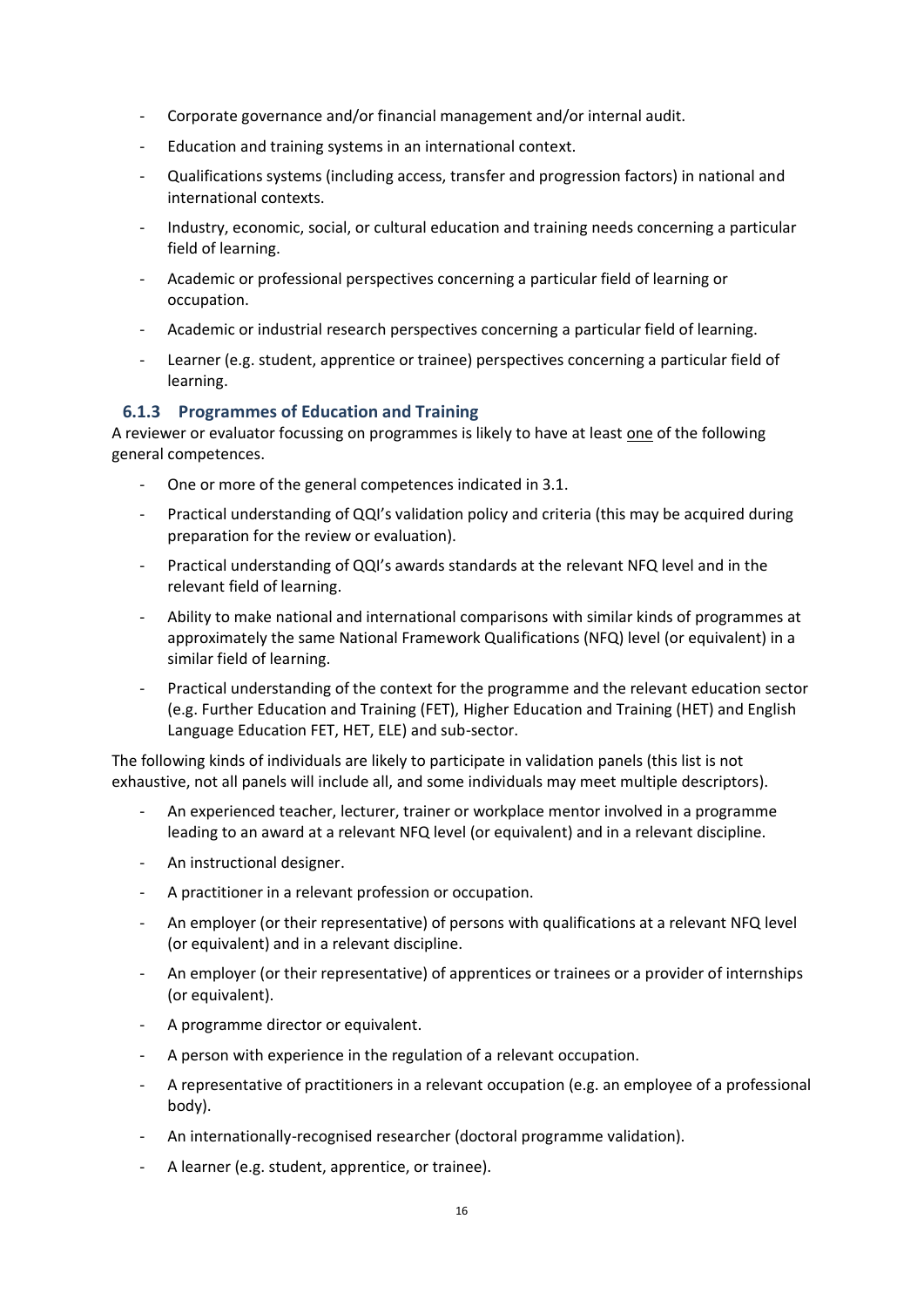- Corporate governance and/or financial management and/or internal audit.
- Education and training systems in an international context.
- Qualifications systems (including access, transfer and progression factors) in national and international contexts.
- Industry, economic, social, or cultural education and training needs concerning a particular field of learning.
- Academic or professional perspectives concerning a particular field of learning or occupation.
- Academic or industrial research perspectives concerning a particular field of learning.
- Learner (e.g. student, apprentice or trainee) perspectives concerning a particular field of learning.

#### <span id="page-15-0"></span>**6.1.3 Programmes of Education and Training**

A reviewer or evaluator focussing on programmes is likely to have at least one of the following general competences.

- One or more of the general competences indicated in 3.1.
- Practical understanding of QQI's validation policy and criteria (this may be acquired during preparation for the review or evaluation).
- Practical understanding of QQI's awards standards at the relevant NFQ level and in the relevant field of learning.
- Ability to make national and international comparisons with similar kinds of programmes at approximately the same National Framework Qualifications (NFQ) level (or equivalent) in a similar field of learning.
- Practical understanding of the context for the programme and the relevant education sector (e.g. Further Education and Training (FET), Higher Education and Training (HET) and English Language Education FET, HET, ELE) and sub-sector.

The following kinds of individuals are likely to participate in validation panels (this list is not exhaustive, not all panels will include all, and some individuals may meet multiple descriptors).

- An experienced teacher, lecturer, trainer or workplace mentor involved in a programme leading to an award at a relevant NFQ level (or equivalent) and in a relevant discipline.
- An instructional designer.
- A practitioner in a relevant profession or occupation.
- An employer (or their representative) of persons with qualifications at a relevant NFQ level (or equivalent) and in a relevant discipline.
- An employer (or their representative) of apprentices or trainees or a provider of internships (or equivalent).
- A programme director or equivalent.
- A person with experience in the regulation of a relevant occupation.
- A representative of practitioners in a relevant occupation (e.g. an employee of a professional body).
- An internationally-recognised researcher (doctoral programme validation).
- A learner (e.g. student, apprentice, or trainee).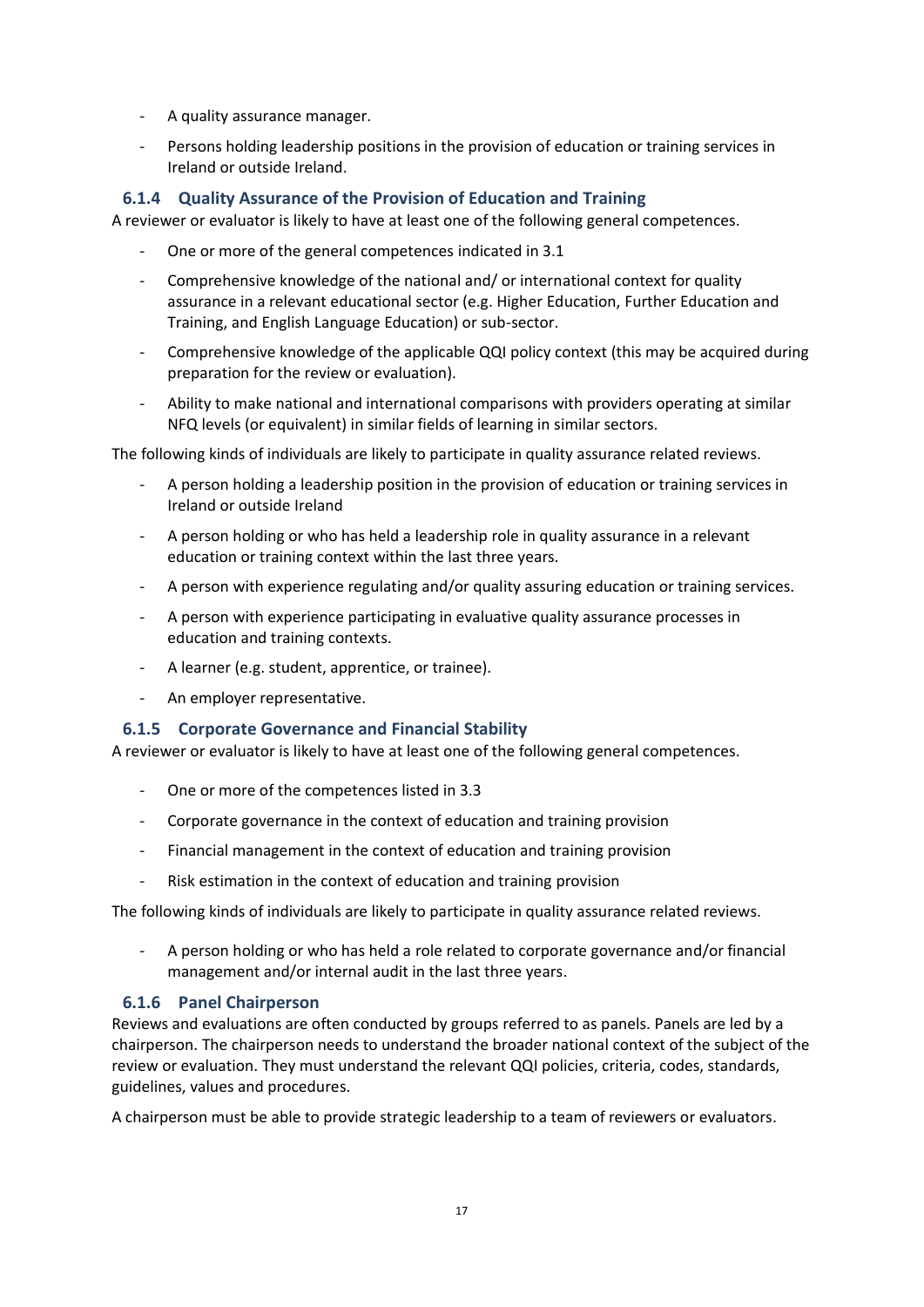- A quality assurance manager.
- Persons holding leadership positions in the provision of education or training services in Ireland or outside Ireland.

#### <span id="page-16-0"></span>**6.1.4 Quality Assurance of the Provision of Education and Training**

A reviewer or evaluator is likely to have at least one of the following general competences.

- One or more of the general competences indicated in 3.1
- Comprehensive knowledge of the national and/ or international context for quality assurance in a relevant educational sector (e.g. Higher Education, Further Education and Training, and English Language Education) or sub-sector.
- Comprehensive knowledge of the applicable QQI policy context (this may be acquired during preparation for the review or evaluation).
- Ability to make national and international comparisons with providers operating at similar NFQ levels (or equivalent) in similar fields of learning in similar sectors.

The following kinds of individuals are likely to participate in quality assurance related reviews.

- A person holding a leadership position in the provision of education or training services in Ireland or outside Ireland
- A person holding or who has held a leadership role in quality assurance in a relevant education or training context within the last three years.
- A person with experience regulating and/or quality assuring education or training services.
- A person with experience participating in evaluative quality assurance processes in education and training contexts.
- A learner (e.g. student, apprentice, or trainee).
- An employer representative.

#### <span id="page-16-1"></span>**6.1.5 Corporate Governance and Financial Stability**

A reviewer or evaluator is likely to have at least one of the following general competences.

- One or more of the competences listed in 3.3
- Corporate governance in the context of education and training provision
- Financial management in the context of education and training provision
- Risk estimation in the context of education and training provision

The following kinds of individuals are likely to participate in quality assurance related reviews.

- A person holding or who has held a role related to corporate governance and/or financial management and/or internal audit in the last three years.

#### <span id="page-16-2"></span>**6.1.6 Panel Chairperson**

Reviews and evaluations are often conducted by groups referred to as panels. Panels are led by a chairperson. The chairperson needs to understand the broader national context of the subject of the review or evaluation. They must understand the relevant QQI policies, criteria, codes, standards, guidelines, values and procedures.

A chairperson must be able to provide strategic leadership to a team of reviewers or evaluators.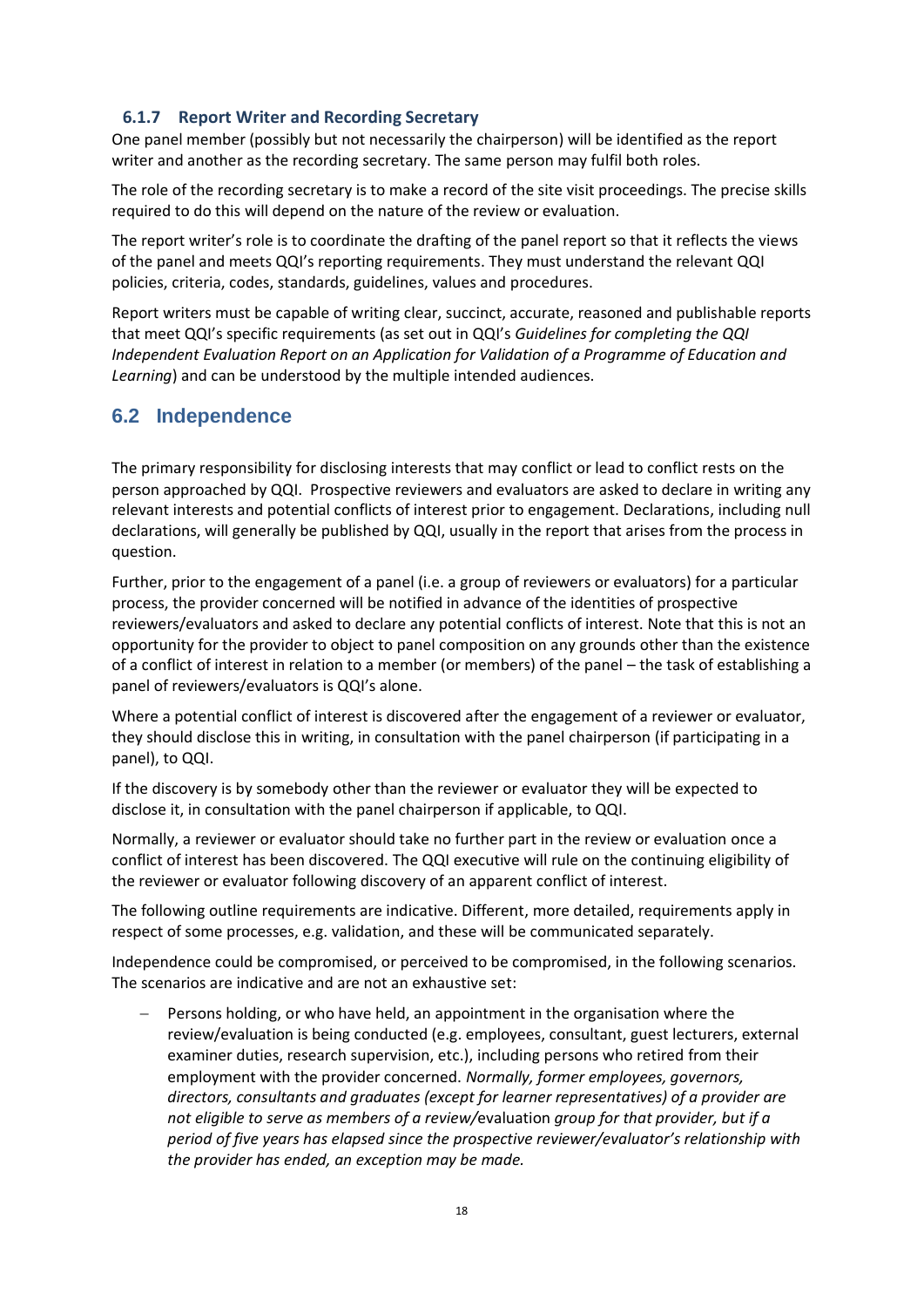#### <span id="page-17-0"></span>**6.1.7 Report Writer and Recording Secretary**

One panel member (possibly but not necessarily the chairperson) will be identified as the report writer and another as the recording secretary. The same person may fulfil both roles.

The role of the recording secretary is to make a record of the site visit proceedings. The precise skills required to do this will depend on the nature of the review or evaluation.

The report writer's role is to coordinate the drafting of the panel report so that it reflects the views of the panel and meets QQI's reporting requirements. They must understand the relevant QQI policies, criteria, codes, standards, guidelines, values and procedures.

Report writers must be capable of writing clear, succinct, accurate, reasoned and publishable reports that meet QQI's specific requirements (as set out in QQI's *Guidelines for completing the QQI Independent Evaluation Report on an Application for Validation of a Programme of Education and Learning*) and can be understood by the multiple intended audiences.

# <span id="page-17-1"></span>**6.2 Independence**

The primary responsibility for disclosing interests that may conflict or lead to conflict rests on the person approached by QQI. Prospective reviewers and evaluators are asked to declare in writing any relevant interests and potential conflicts of interest prior to engagement. Declarations, including null declarations, will generally be published by QQI, usually in the report that arises from the process in question.

Further, prior to the engagement of a panel (i.e. a group of reviewers or evaluators) for a particular process, the provider concerned will be notified in advance of the identities of prospective reviewers/evaluators and asked to declare any potential conflicts of interest. Note that this is not an opportunity for the provider to object to panel composition on any grounds other than the existence of a conflict of interest in relation to a member (or members) of the panel – the task of establishing a panel of reviewers/evaluators is QQI's alone.

Where a potential conflict of interest is discovered after the engagement of a reviewer or evaluator, they should disclose this in writing, in consultation with the panel chairperson (if participating in a panel), to QQI.

If the discovery is by somebody other than the reviewer or evaluator they will be expected to disclose it, in consultation with the panel chairperson if applicable, to QQI.

Normally, a reviewer or evaluator should take no further part in the review or evaluation once a conflict of interest has been discovered. The QQI executive will rule on the continuing eligibility of the reviewer or evaluator following discovery of an apparent conflict of interest.

The following outline requirements are indicative. Different, more detailed, requirements apply in respect of some processes, e.g. validation, and these will be communicated separately.

Independence could be compromised, or perceived to be compromised, in the following scenarios. The scenarios are indicative and are not an exhaustive set:

− Persons holding, or who have held, an appointment in the organisation where the review/evaluation is being conducted (e.g. employees, consultant, guest lecturers, external examiner duties, research supervision, etc.), including persons who retired from their employment with the provider concerned. *Normally, former employees, governors, directors, consultants and graduates (except for learner representatives) of a provider are not eligible to serve as members of a review/*evaluation *group for that provider, but if a period of five years has elapsed since the prospective reviewer/evaluator's relationship with the provider has ended, an exception may be made.*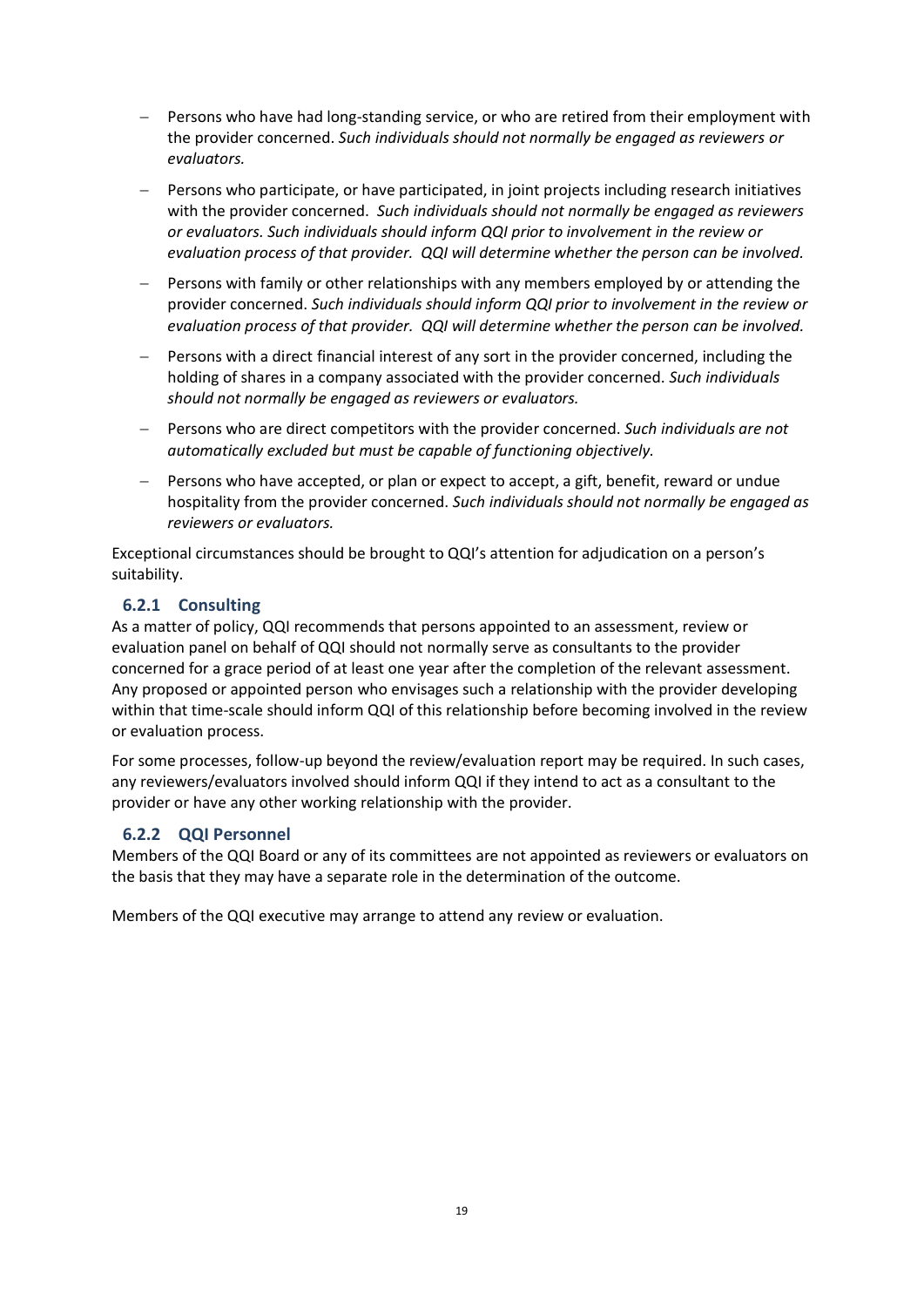- − Persons who have had long-standing service, or who are retired from their employment with the provider concerned. *Such individuals should not normally be engaged as reviewers or evaluators.*
- Persons who participate, or have participated, in joint projects including research initiatives with the provider concerned. *Such individuals should not normally be engaged as reviewers or evaluators. Such individuals should inform QQI prior to involvement in the review or evaluation process of that provider. QQI will determine whether the person can be involved.*
- − Persons with family or other relationships with any members employed by or attending the provider concerned. *Such individuals should inform QQI prior to involvement in the review or evaluation process of that provider. QQI will determine whether the person can be involved.*
- Persons with a direct financial interest of any sort in the provider concerned, including the holding of shares in a company associated with the provider concerned. *Such individuals should not normally be engaged as reviewers or evaluators.*
- − Persons who are direct competitors with the provider concerned. *Such individuals are not automatically excluded but must be capable of functioning objectively.*
- − Persons who have accepted, or plan or expect to accept, a gift, benefit, reward or undue hospitality from the provider concerned. *Such individuals should not normally be engaged as reviewers or evaluators.*

Exceptional circumstances should be brought to QQI's attention for adjudication on a person's suitability.

#### <span id="page-18-0"></span>**6.2.1 Consulting**

As a matter of policy, QQI recommends that persons appointed to an assessment, review or evaluation panel on behalf of QQI should not normally serve as consultants to the provider concerned for a grace period of at least one year after the completion of the relevant assessment. Any proposed or appointed person who envisages such a relationship with the provider developing within that time-scale should inform QQI of this relationship before becoming involved in the review or evaluation process.

For some processes, follow-up beyond the review/evaluation report may be required. In such cases, any reviewers/evaluators involved should inform QQI if they intend to act as a consultant to the provider or have any other working relationship with the provider.

#### <span id="page-18-1"></span>**6.2.2 QQI Personnel**

Members of the QQI Board or any of its committees are not appointed as reviewers or evaluators on the basis that they may have a separate role in the determination of the outcome.

Members of the QQI executive may arrange to attend any review or evaluation.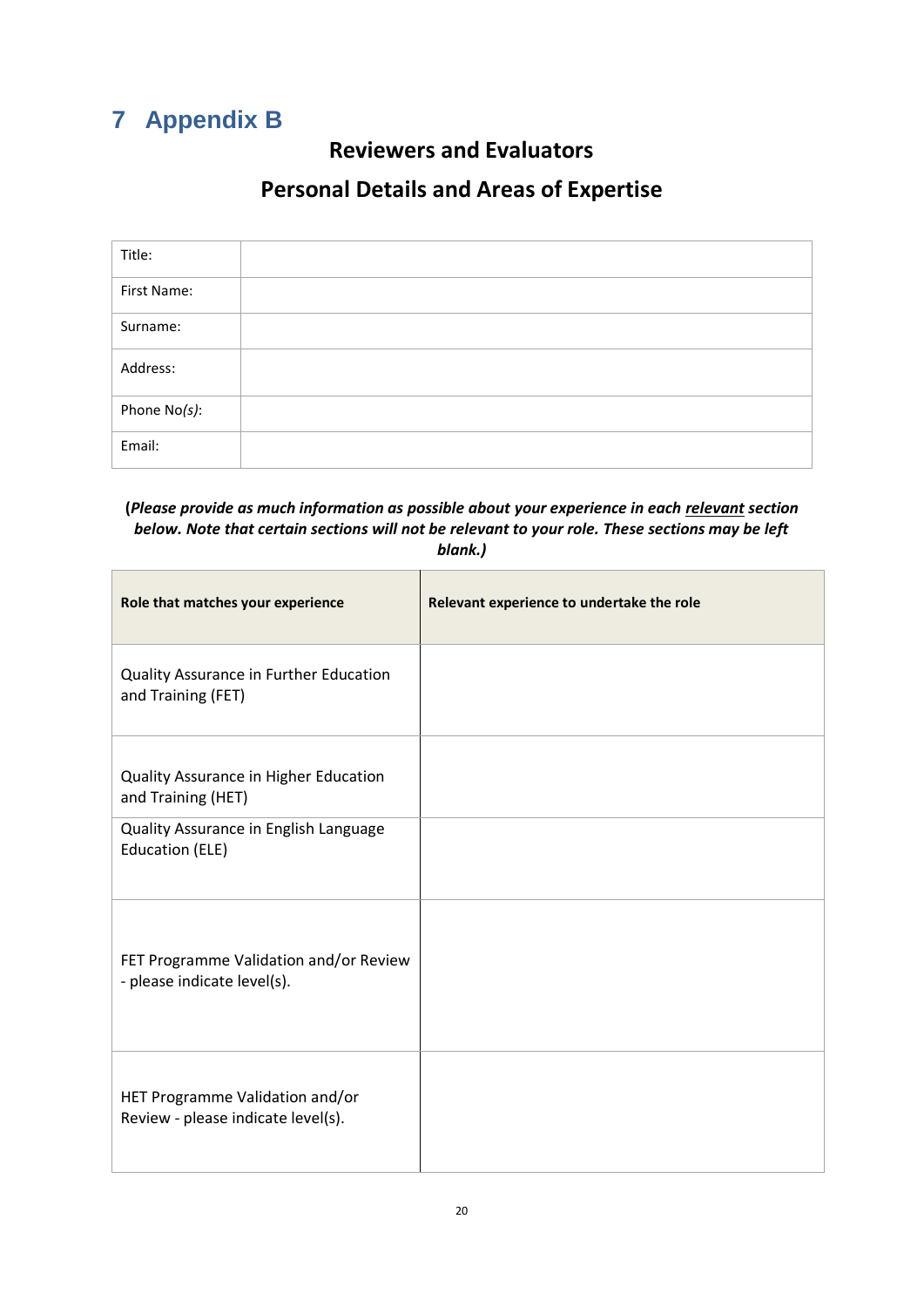# <span id="page-19-0"></span>**7 Appendix B**

# **Reviewers and Evaluators**

# **Personal Details and Areas of Expertise**

| Title:       |  |
|--------------|--|
| First Name:  |  |
| Surname:     |  |
| Address:     |  |
| Phone No(s): |  |
| Email:       |  |

#### **(***Please provide as much information as possible about your experience in each relevant section below. Note that certain sections will not be relevant to your role. These sections may be left blank.)*

| Role that matches your experience                                     | Relevant experience to undertake the role |
|-----------------------------------------------------------------------|-------------------------------------------|
| Quality Assurance in Further Education<br>and Training (FET)          |                                           |
| Quality Assurance in Higher Education<br>and Training (HET)           |                                           |
| Quality Assurance in English Language<br><b>Education (ELE)</b>       |                                           |
| FET Programme Validation and/or Review<br>- please indicate level(s). |                                           |
| HET Programme Validation and/or<br>Review - please indicate level(s). |                                           |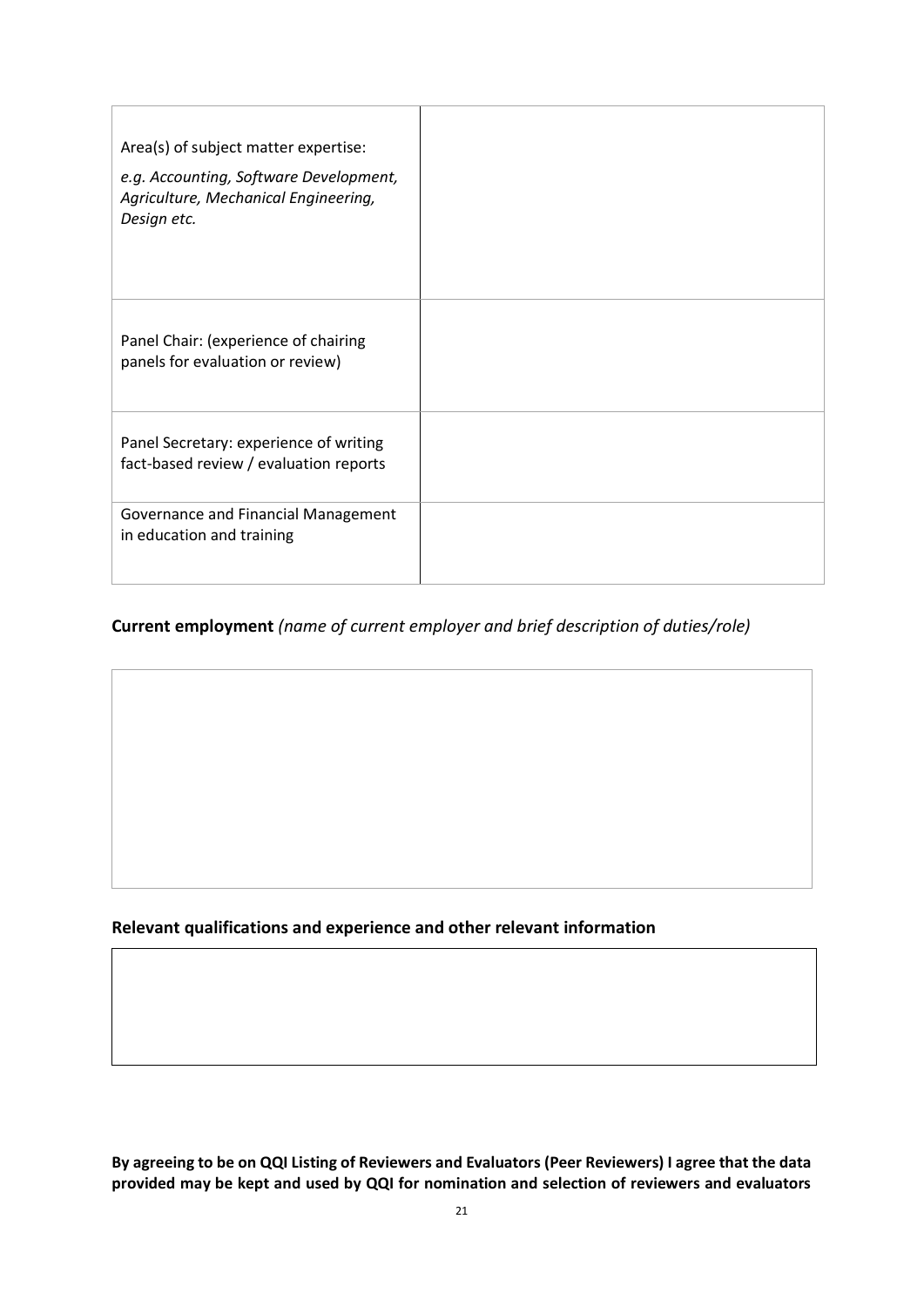| Area(s) of subject matter expertise:                                                          |  |
|-----------------------------------------------------------------------------------------------|--|
| e.g. Accounting, Software Development,<br>Agriculture, Mechanical Engineering,<br>Design etc. |  |
| Panel Chair: (experience of chairing<br>panels for evaluation or review)                      |  |
| Panel Secretary: experience of writing<br>fact-based review / evaluation reports              |  |
| Governance and Financial Management<br>in education and training                              |  |

### **Current employment** *(name of current employer and brief description of duties/role)*

**Relevant qualifications and experience and other relevant information**

**By agreeing to be on QQI Listing of Reviewers and Evaluators (Peer Reviewers) I agree that the data provided may be kept and used by QQI for nomination and selection of reviewers and evaluators**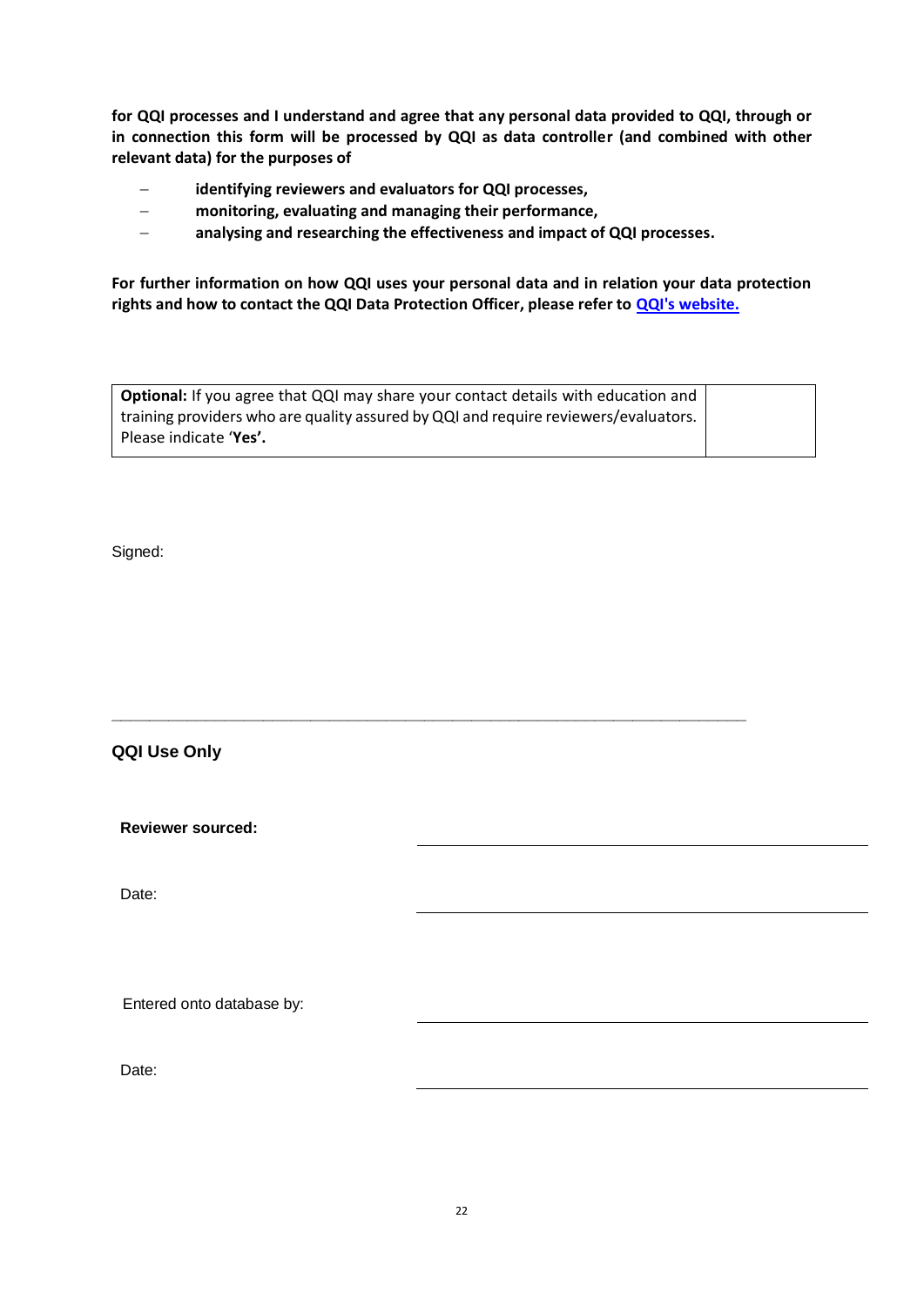**for QQI processes and I understand and agree that any personal data provided to QQI, through or in connection this form will be processed by QQI as data controller (and combined with other relevant data) for the purposes of** 

- − **identifying reviewers and evaluators for QQI processes,**
- − **monitoring, evaluating and managing their performance,**
- − **analysing and researching the effectiveness and impact of QQI processes.**

**For further information on how QQI uses your personal data and in relation your data protection rights and how to contact the QQI Data Protection Officer, please refer to [QQI's website.](https://www.qqi.ie/Articles/Pages/Data-Protection-.aspx)**

| <b>Optional:</b> If you agree that QQI may share your contact details with education and |  |
|------------------------------------------------------------------------------------------|--|
| training providers who are quality assured by QQI and require reviewers/evaluators.      |  |
| Please indicate 'Yes'.                                                                   |  |

**\_\_\_\_\_\_\_\_\_\_\_\_\_\_\_\_\_\_\_\_\_\_\_\_\_\_\_\_\_\_\_\_\_\_\_\_\_\_\_\_\_\_\_\_\_\_\_\_\_\_\_\_\_\_\_\_\_\_\_\_\_\_\_\_\_\_\_**

Signed:

**QQI Use Only**

**Reviewer sourced:**

Date:

Entered onto database by:

Date: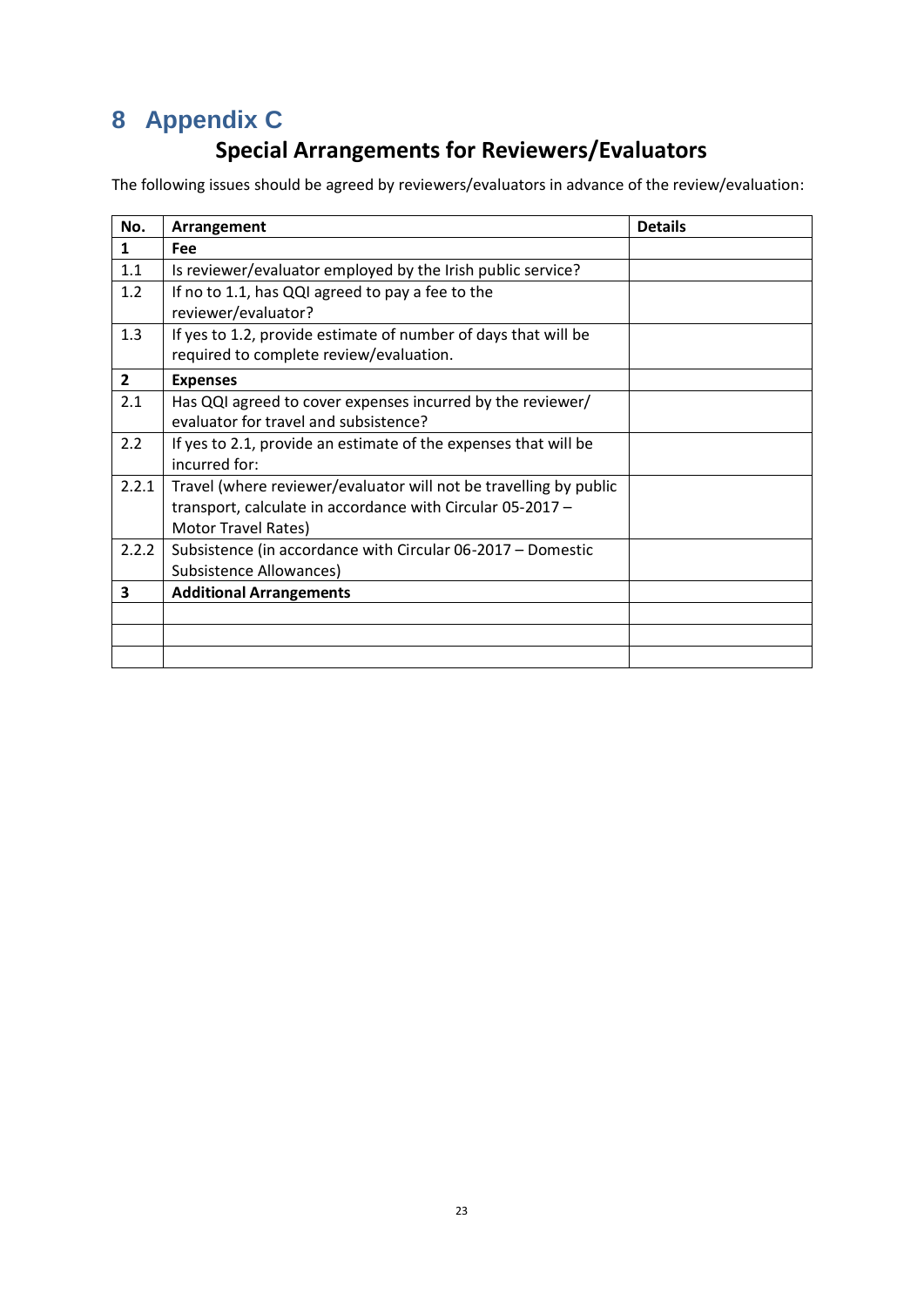# <span id="page-22-0"></span>**8 Appendix C**

# **Special Arrangements for Reviewers/Evaluators**

The following issues should be agreed by reviewers/evaluators in advance of the review/evaluation:

| No.            | Arrangement                                                                                                                                            | <b>Details</b> |
|----------------|--------------------------------------------------------------------------------------------------------------------------------------------------------|----------------|
| $\mathbf{1}$   | Fee                                                                                                                                                    |                |
| 1.1            | Is reviewer/evaluator employed by the Irish public service?                                                                                            |                |
| 1.2            | If no to 1.1, has QQI agreed to pay a fee to the<br>reviewer/evaluator?                                                                                |                |
| 1.3            | If yes to 1.2, provide estimate of number of days that will be<br>required to complete review/evaluation.                                              |                |
| $\overline{2}$ | <b>Expenses</b>                                                                                                                                        |                |
| 2.1            | Has QQI agreed to cover expenses incurred by the reviewer/<br>evaluator for travel and subsistence?                                                    |                |
| 2.2            | If yes to 2.1, provide an estimate of the expenses that will be<br>incurred for:                                                                       |                |
| 2.2.1          | Travel (where reviewer/evaluator will not be travelling by public<br>transport, calculate in accordance with Circular 05-2017 -<br>Motor Travel Rates) |                |
| 2.2.2          | Subsistence (in accordance with Circular 06-2017 – Domestic<br><b>Subsistence Allowances)</b>                                                          |                |
| 3              | <b>Additional Arrangements</b>                                                                                                                         |                |
|                |                                                                                                                                                        |                |
|                |                                                                                                                                                        |                |
|                |                                                                                                                                                        |                |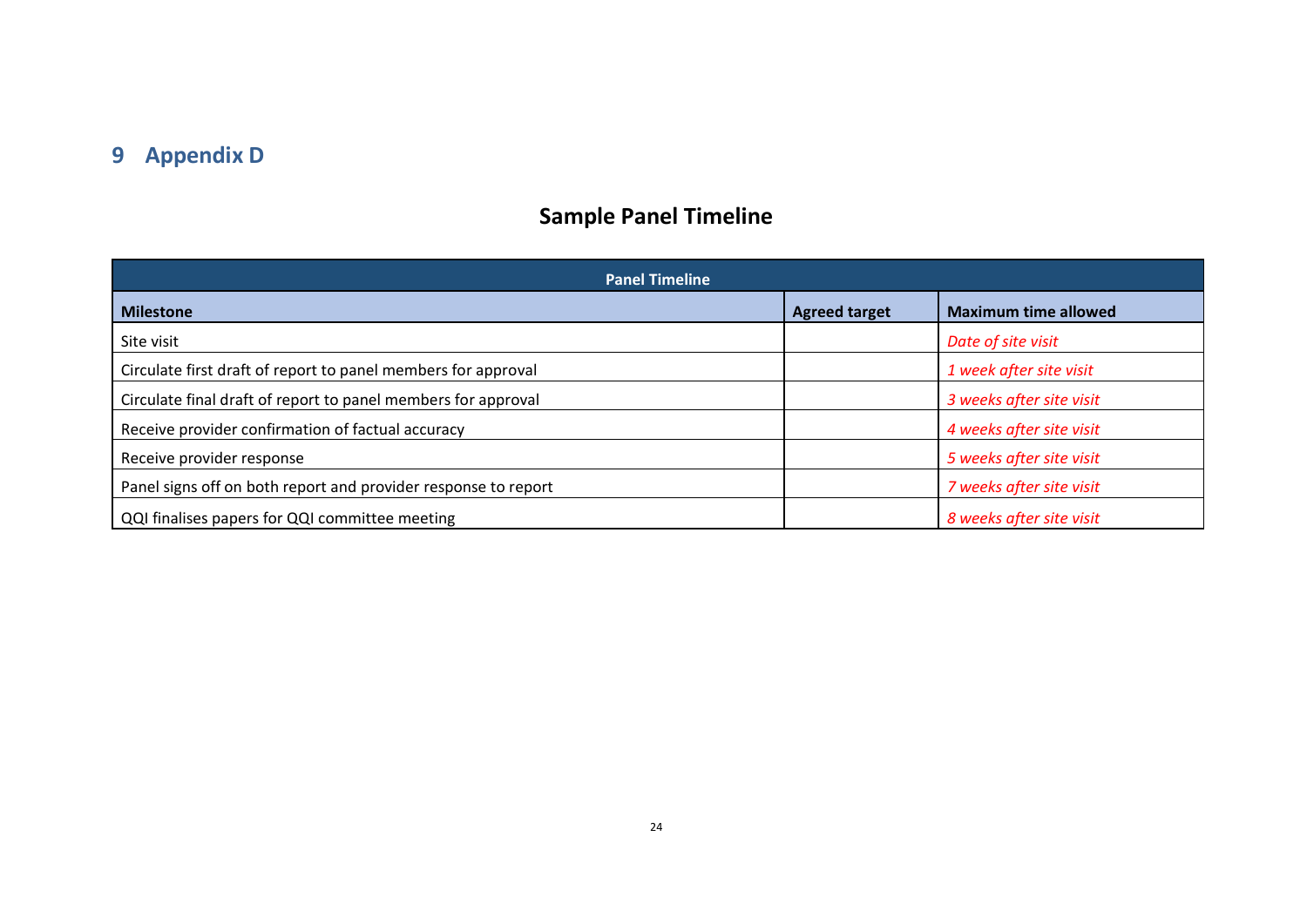# **9 Appendix D**

# **Sample Panel Timeline**

<span id="page-23-0"></span>

| <b>Panel Timeline</b>                                          |                      |                             |  |
|----------------------------------------------------------------|----------------------|-----------------------------|--|
| <b>Milestone</b>                                               | <b>Agreed target</b> | <b>Maximum time allowed</b> |  |
| Site visit                                                     |                      | Date of site visit          |  |
| Circulate first draft of report to panel members for approval  |                      | 1 week after site visit     |  |
| Circulate final draft of report to panel members for approval  |                      | 3 weeks after site visit    |  |
| Receive provider confirmation of factual accuracy              |                      | 4 weeks after site visit    |  |
| Receive provider response                                      |                      | 5 weeks after site visit    |  |
| Panel signs off on both report and provider response to report |                      | 7 weeks after site visit    |  |
| QQI finalises papers for QQI committee meeting                 |                      | 8 weeks after site visit    |  |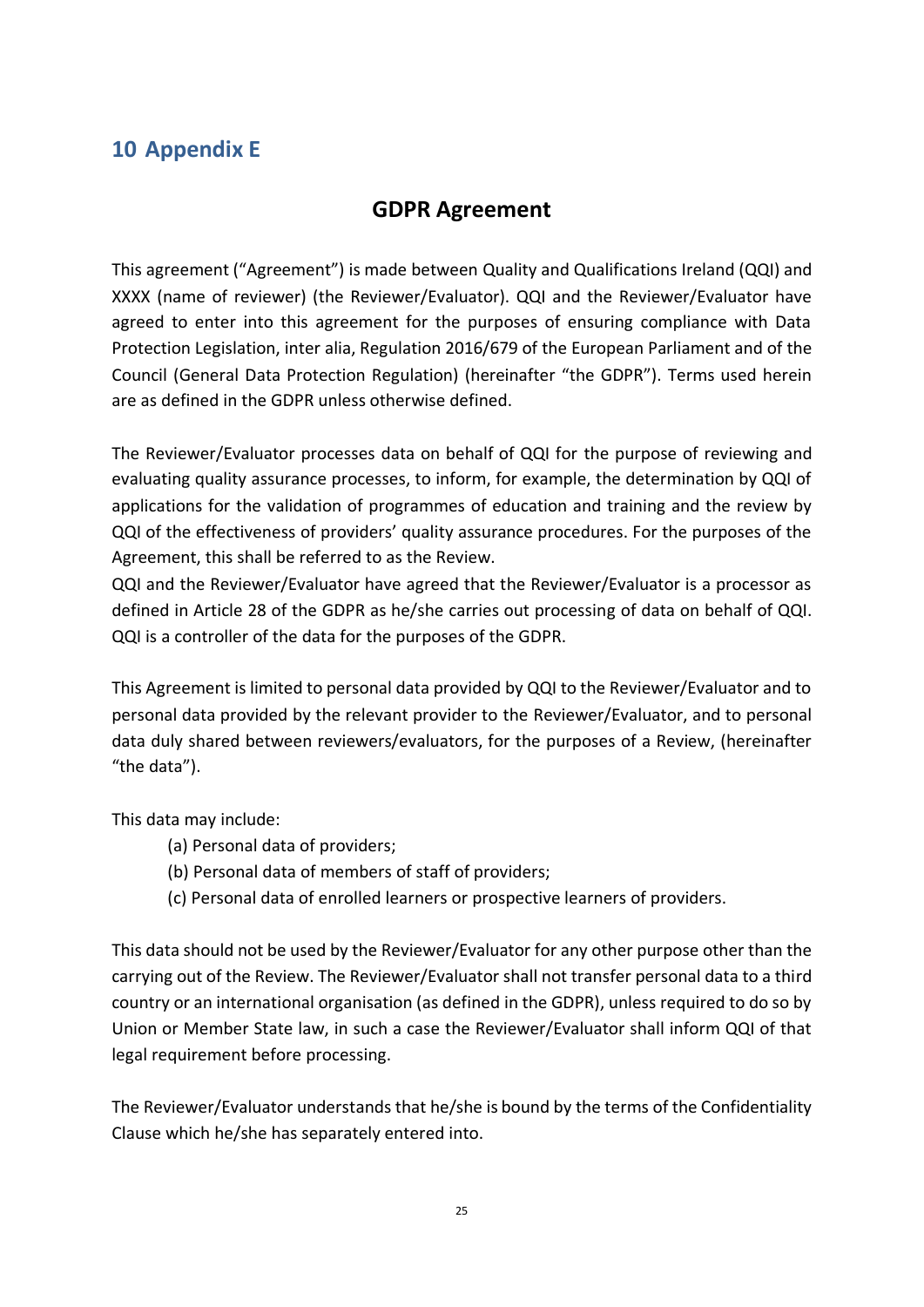# <span id="page-24-0"></span>**10 Appendix E**

# **GDPR Agreement**

This agreement ("Agreement") is made between Quality and Qualifications Ireland (QQI) and XXXX (name of reviewer) (the Reviewer/Evaluator). QQI and the Reviewer/Evaluator have agreed to enter into this agreement for the purposes of ensuring compliance with Data Protection Legislation, inter alia, Regulation 2016/679 of the European Parliament and of the Council (General Data Protection Regulation) (hereinafter "the GDPR"). Terms used herein are as defined in the GDPR unless otherwise defined.

The Reviewer/Evaluator processes data on behalf of QQI for the purpose of reviewing and evaluating quality assurance processes, to inform, for example, the determination by QQI of applications for the validation of programmes of education and training and the review by QQI of the effectiveness of providers' quality assurance procedures. For the purposes of the Agreement, this shall be referred to as the Review.

QQI and the Reviewer/Evaluator have agreed that the Reviewer/Evaluator is a processor as defined in Article 28 of the GDPR as he/she carries out processing of data on behalf of QQI. QQI is a controller of the data for the purposes of the GDPR.

This Agreement is limited to personal data provided by QQI to the Reviewer/Evaluator and to personal data provided by the relevant provider to the Reviewer/Evaluator, and to personal data duly shared between reviewers/evaluators, for the purposes of a Review, (hereinafter "the data").

This data may include:

- (a) Personal data of providers;
- (b) Personal data of members of staff of providers;
- (c) Personal data of enrolled learners or prospective learners of providers.

This data should not be used by the Reviewer/Evaluator for any other purpose other than the carrying out of the Review. The Reviewer/Evaluator shall not transfer personal data to a third country or an international organisation (as defined in the GDPR), unless required to do so by Union or Member State law, in such a case the Reviewer/Evaluator shall inform QQI of that legal requirement before processing.

The Reviewer/Evaluator understands that he/she is bound by the terms of the Confidentiality Clause which he/she has separately entered into.